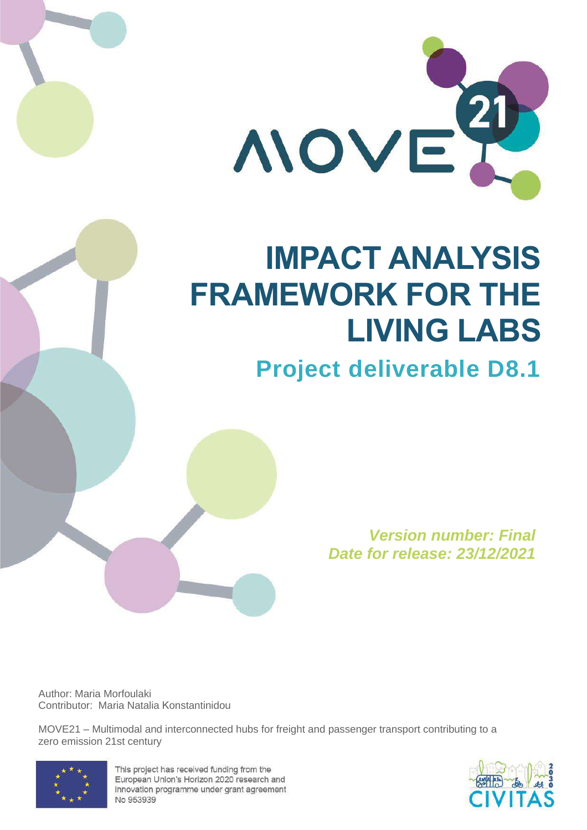

# **IMPACT ANALYSIS FRAMEWORK FOR THE LIVING LABS**

# **Project deliverable D8.1**

*Version number: Final Date for release: 23/12/2021*

Author: Maria Morfoulaki Contributor: Maria Natalia Κonstantinidou

MOVE21 – Multimodal and interconnected hubs for freight and passenger transport contributing to a zero emission 21st century



This project has received funding from the European Union's Horizon 2020 research and innovation programme under grant agreement No 953939

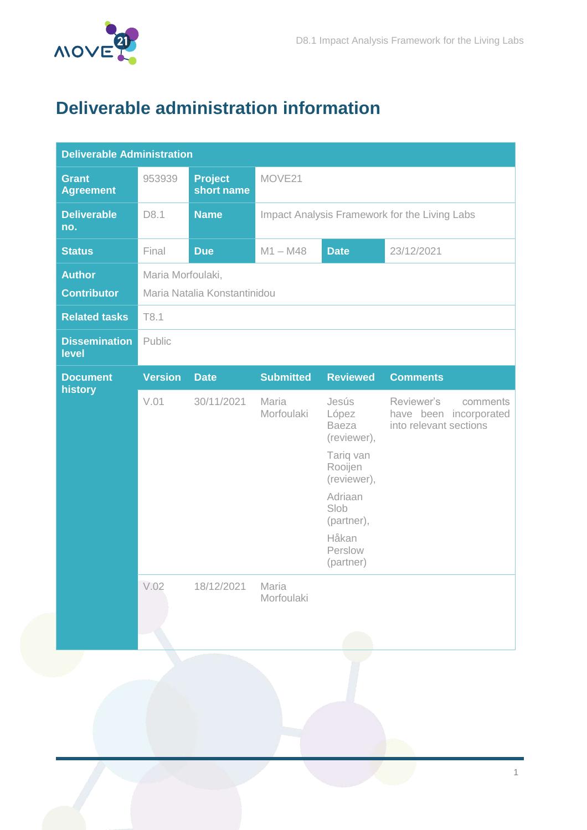

# <span id="page-1-0"></span>**Deliverable administration information**

| <b>Deliverable Administration</b>   |                                                   |                              |                                            |                                                                                                                                                        |                                                                            |  |  |
|-------------------------------------|---------------------------------------------------|------------------------------|--------------------------------------------|--------------------------------------------------------------------------------------------------------------------------------------------------------|----------------------------------------------------------------------------|--|--|
| <b>Grant</b><br><b>Agreement</b>    | 953939                                            | <b>Project</b><br>short name | MOVE21                                     |                                                                                                                                                        |                                                                            |  |  |
| <b>Deliverable</b><br>no.           | D8.1                                              | <b>Name</b>                  |                                            | Impact Analysis Framework for the Living Labs                                                                                                          |                                                                            |  |  |
| <b>Status</b>                       | Final                                             | <b>Due</b>                   | $M1 - M48$<br><b>Date</b><br>23/12/2021    |                                                                                                                                                        |                                                                            |  |  |
| <b>Author</b><br><b>Contributor</b> | Maria Morfoulaki,<br>Maria Natalia Konstantinidou |                              |                                            |                                                                                                                                                        |                                                                            |  |  |
| <b>Related tasks</b>                | T8.1                                              |                              |                                            |                                                                                                                                                        |                                                                            |  |  |
| <b>Dissemination</b><br>level       | Public                                            |                              |                                            |                                                                                                                                                        |                                                                            |  |  |
| <b>Document</b>                     | <b>Version</b>                                    | <b>Date</b>                  | <b>Submitted</b>                           | <b>Reviewed</b>                                                                                                                                        | <b>Comments</b>                                                            |  |  |
| history                             | V.01<br>V.02                                      | 30/11/2021<br>18/12/2021     | Maria<br>Morfoulaki<br>Maria<br>Morfoulaki | Jesús<br>López<br><b>Baeza</b><br>(reviewer),<br>Tariq van<br>Rooijen<br>(reviewer),<br>Adriaan<br>Slob<br>(partner),<br>Håkan<br>Perslow<br>(partner) | Reviewer's<br>comments<br>have been incorporated<br>into relevant sections |  |  |
|                                     |                                                   |                              |                                            |                                                                                                                                                        |                                                                            |  |  |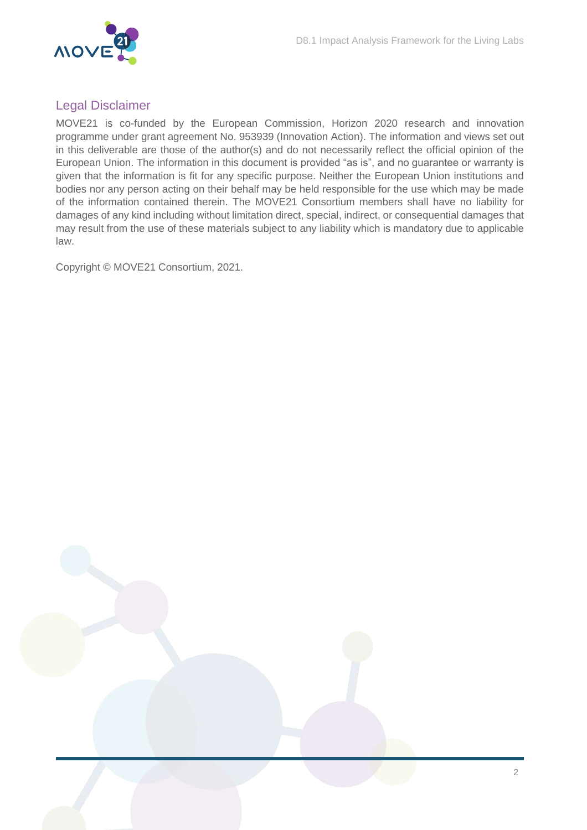

### Legal Disclaimer

MOVE21 is co-funded by the European Commission, Horizon 2020 research and innovation programme under grant agreement No. 953939 (Innovation Action). The information and views set out in this deliverable are those of the author(s) and do not necessarily reflect the official opinion of the European Union. The information in this document is provided "as is", and no guarantee or warranty is given that the information is fit for any specific purpose. Neither the European Union institutions and bodies nor any person acting on their behalf may be held responsible for the use which may be made of the information contained therein. The MOVE21 Consortium members shall have no liability for damages of any kind including without limitation direct, special, indirect, or consequential damages that may result from the use of these materials subject to any liability which is mandatory due to applicable law.

Copyright © MOVE21 Consortium, 2021.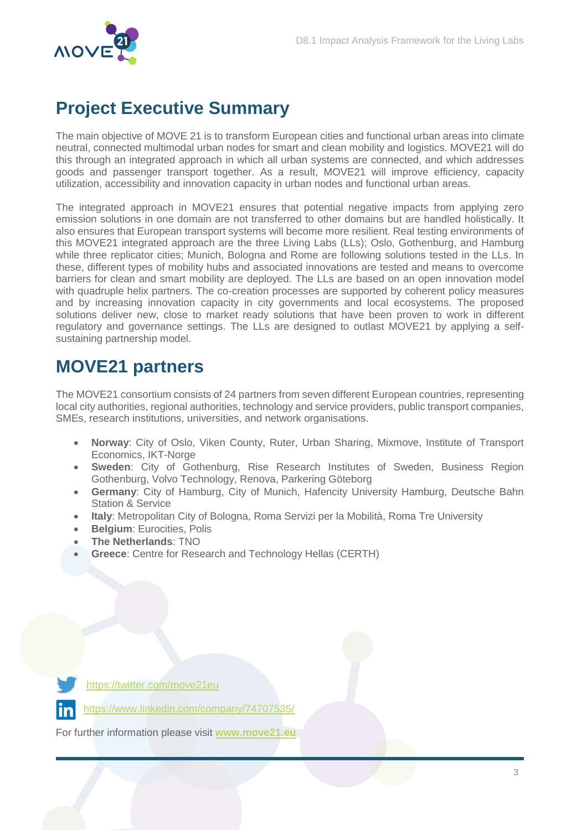

# <span id="page-3-0"></span>**Project Executive Summary**

The main objective of MOVE 21 is to transform European cities and functional urban areas into climate neutral, connected multimodal urban nodes for smart and clean mobility and logistics. MOVE21 will do this through an integrated approach in which all urban systems are connected, and which addresses goods and passenger transport together. As a result, MOVE21 will improve efficiency, capacity utilization, accessibility and innovation capacity in urban nodes and functional urban areas.

The integrated approach in MOVE21 ensures that potential negative impacts from applying zero emission solutions in one domain are not transferred to other domains but are handled holistically. It also ensures that European transport systems will become more resilient. Real testing environments of this MOVE21 integrated approach are the three Living Labs (LLs); Oslo, Gothenburg, and Hamburg while three replicator cities; Munich, Bologna and Rome are following solutions tested in the LLs. In these, different types of mobility hubs and associated innovations are tested and means to overcome barriers for clean and smart mobility are deployed. The LLs are based on an open innovation model with quadruple helix partners. The co-creation processes are supported by coherent policy measures and by increasing innovation capacity in city governments and local ecosystems. The proposed solutions deliver new, close to market ready solutions that have been proven to work in different regulatory and governance settings. The LLs are designed to outlast MOVE21 by applying a selfsustaining partnership model.

# <span id="page-3-1"></span>**MOVE21 partners**

The MOVE21 consortium consists of 24 partners from seven different European countries, representing local city authorities, regional authorities, technology and service providers, public transport companies, SMEs, research institutions, universities, and network organisations.

- **Norway**: City of Oslo, Viken County, Ruter, Urban Sharing, Mixmove, Institute of Transport Economics, IKT-Norge
- **Sweden**: City of Gothenburg, Rise Research Institutes of Sweden, Business Region Gothenburg, Volvo Technology, Renova, Parkering Göteborg
- **Germany**: City of Hamburg, City of Munich, Hafencity University Hamburg, Deutsche Bahn Station & Service
- **Italy**: Metropolitan City of Bologna, Roma Servizi per la Mobilità, Roma Tre University
- **Belgium**: Eurocities, Polis
- **The Netherlands**: TNO
- **Greece**: Centre for Research and Technology Hellas (CERTH)



<https://twitter.com/move21eu>

/www.linkedin.com/company/74707535/

For further information please visit **[www.move21.eu](http://www.move21.eu/)**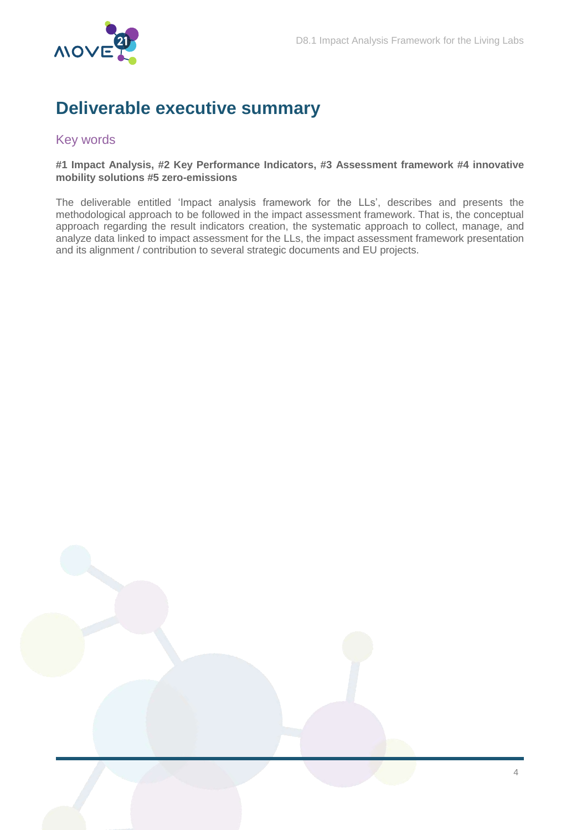

## <span id="page-4-0"></span>**Deliverable executive summary**

### <span id="page-4-1"></span>Key words

#### **#1 Impact Analysis, #2 Key Performance Indicators, #3 Assessment framework #4 innovative mobility solutions #5 zero-emissions**

The deliverable entitled 'Impact analysis framework for the LLs', describes and presents the methodological approach to be followed in the impact assessment framework. That is, the conceptual approach regarding the result indicators creation, the systematic approach to collect, manage, and analyze data linked to impact assessment for the LLs, the impact assessment framework presentation and its alignment / contribution to several strategic documents and EU projects.

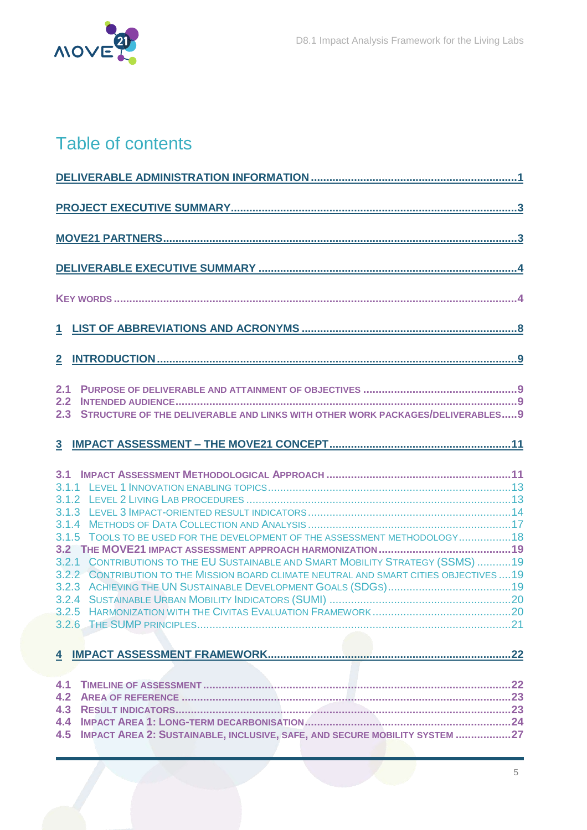

# Table of contents

| $\mathbf{2}$                                                                                                                                                                                                                                                      |
|-------------------------------------------------------------------------------------------------------------------------------------------------------------------------------------------------------------------------------------------------------------------|
| 2.1<br>2.2<br>STRUCTURE OF THE DELIVERABLE AND LINKS WITH OTHER WORK PACKAGES/DELIVERABLES 9<br>2.3                                                                                                                                                               |
|                                                                                                                                                                                                                                                                   |
| 3.1<br>3.1.5 TOOLS TO BE USED FOR THE DEVELOPMENT OF THE ASSESSMENT METHODOLOGY 18<br>CONTRIBUTIONS TO THE EU SUSTAINABLE AND SMART MOBILITY STRATEGY (SSMS) 19<br>3.2.1<br>3.2.2 CONTRIBUTION TO THE MISSION BOARD CLIMATE NEUTRAL AND SMART CITIES OBJECTIVES19 |
| 4.1<br>4.2<br>4.4<br>4.5 IMPACT AREA 2: SUSTAINABLE, INCLUSIVE, SAFE, AND SECURE MOBILITY SYSTEM 27                                                                                                                                                               |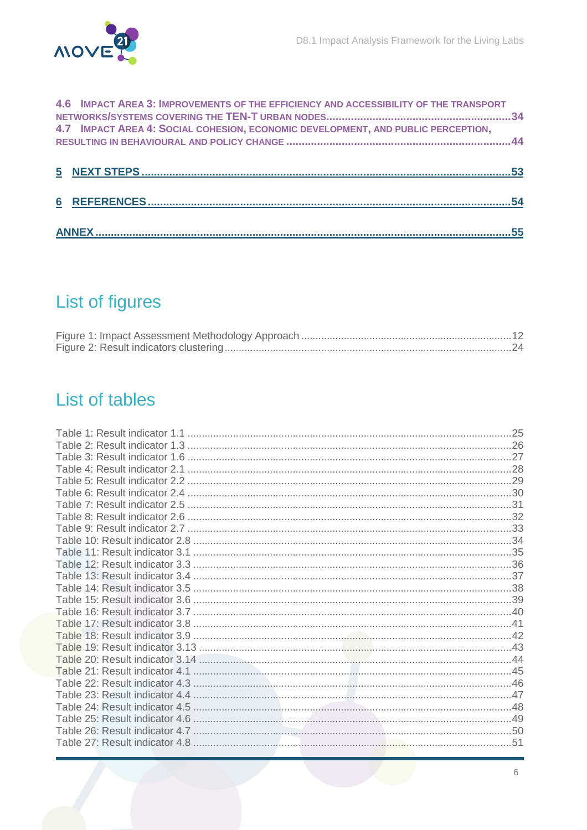

| 4.6 IMPACT AREA 3: IMPROVEMENTS OF THE EFFICIENCY AND ACCESSIBILITY OF THE TRANSPORT |  |
|--------------------------------------------------------------------------------------|--|
| 4.7 IMPACT AREA 4: SOCIAL COHESION, ECONOMIC DEVELOPMENT, AND PUBLIC PERCEPTION,     |  |
|                                                                                      |  |
|                                                                                      |  |
|                                                                                      |  |

# List of figures

# List of tables

| .51 |
|-----|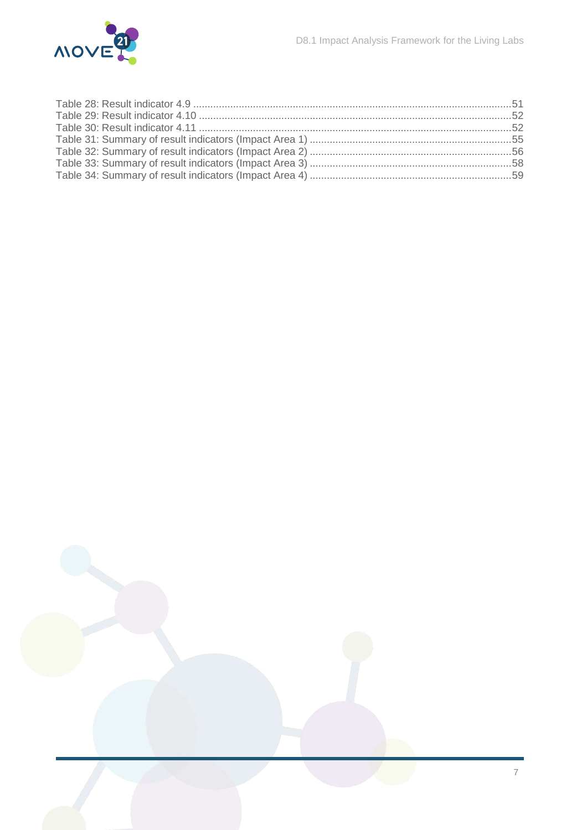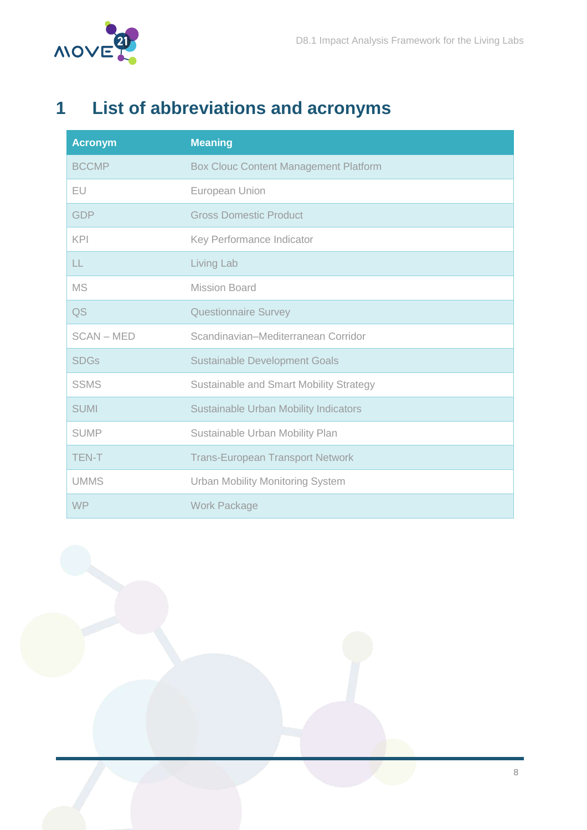

# <span id="page-8-0"></span>**1 List of abbreviations and acronyms**

| <b>Acronym</b>    | <b>Meaning</b>                               |
|-------------------|----------------------------------------------|
| <b>BCCMP</b>      | <b>Box Clouc Content Management Platform</b> |
| EU                | European Union                               |
| <b>GDP</b>        | <b>Gross Domestic Product</b>                |
| <b>KPI</b>        | Key Performance Indicator                    |
| LL                | Living Lab                                   |
| <b>MS</b>         | <b>Mission Board</b>                         |
| QS                | <b>Questionnaire Survey</b>                  |
| <b>SCAN - MED</b> | Scandinavian-Mediterranean Corridor          |
| <b>SDGs</b>       | <b>Sustainable Development Goals</b>         |
| <b>SSMS</b>       | Sustainable and Smart Mobility Strategy      |
| <b>SUMI</b>       | <b>Sustainable Urban Mobility Indicators</b> |
| <b>SUMP</b>       | Sustainable Urban Mobility Plan              |
| <b>TEN-T</b>      | <b>Trans-European Transport Network</b>      |
| <b>UMMS</b>       | <b>Urban Mobility Monitoring System</b>      |
| <b>WP</b>         | <b>Work Package</b>                          |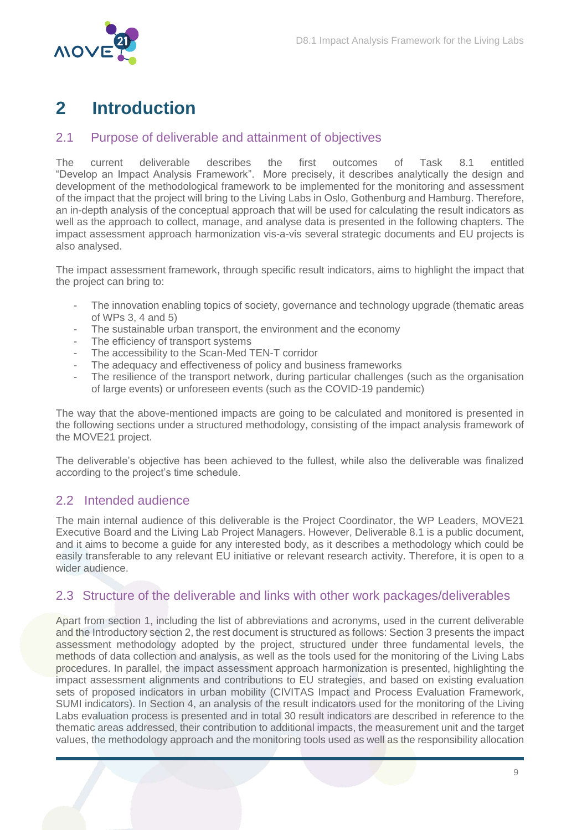

# <span id="page-9-0"></span>**2 Introduction**

### <span id="page-9-1"></span>2.1 Purpose of deliverable and attainment of objectives

The current deliverable describes the first outcomes of Task 8.1 entitled "Develop an Impact Analysis Framework". More precisely, it describes analytically the design and development of the methodological framework to be implemented for the monitoring and assessment of the impact that the project will bring to the Living Labs in Oslo, Gothenburg and Hamburg. Therefore, an in-depth analysis of the conceptual approach that will be used for calculating the result indicators as well as the approach to collect, manage, and analyse data is presented in the following chapters. The impact assessment approach harmonization vis-a-vis several strategic documents and EU projects is also analysed.

The impact assessment framework, through specific result indicators, aims to highlight the impact that the project can bring to:

- The innovation enabling topics of society, governance and technology upgrade (thematic areas of WPs 3, 4 and 5)
- The sustainable urban transport, the environment and the economy
- The efficiency of transport systems
- The accessibility to the Scan-Med TEN-T corridor
- The adequacy and effectiveness of policy and business frameworks
- The resilience of the transport network, during particular challenges (such as the organisation of large events) or unforeseen events (such as the COVID-19 pandemic)

The way that the above-mentioned impacts are going to be calculated and monitored is presented in the following sections under a structured methodology, consisting of the impact analysis framework of the MOVE21 project.

The deliverable's objective has been achieved to the fullest, while also the deliverable was finalized according to the project's time schedule.

### <span id="page-9-2"></span>2.2 Intended audience

The main internal audience of this deliverable is the Project Coordinator, the WP Leaders, MOVE21 Executive Board and the Living Lab Project Managers. However, Deliverable 8.1 is a public document, and it aims to become a guide for any interested body, as it describes a methodology which could be easily transferable to any relevant EU initiative or relevant research activity. Therefore, it is open to a wider audience.

### <span id="page-9-3"></span>2.3 Structure of the deliverable and links with other work packages/deliverables

Apart from section 1, including the list of abbreviations and acronyms, used in the current deliverable and the Introductory section 2, the rest document is structured as follows: Section 3 presents the impact assessment methodology adopted by the project, structured under three fundamental levels, the methods of data collection and analysis, as well as the tools used for the monitoring of the Living Labs procedures. In parallel, the impact assessment approach harmonization is presented, highlighting the impact assessment alignments and contributions to EU strategies, and based on existing evaluation sets of proposed indicators in urban mobility (CIVITAS Impact and Process Evaluation Framework, SUMI indicators). In Section 4, an analysis of the result indicators used for the monitoring of the Living Labs evaluation process is presented and in total 30 result indicators are described in reference to the thematic areas addressed, their contribution to additional impacts, the measurement unit and the target values, the methodology approach and the monitoring tools used as well as the responsibility allocation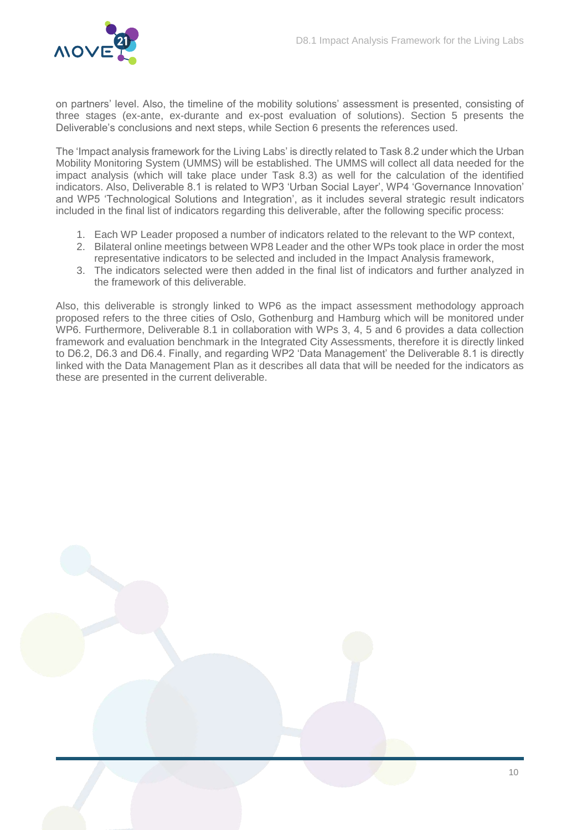

on partners' level. Also, the timeline of the mobility solutions' assessment is presented, consisting of three stages (ex-ante, ex-durante and ex-post evaluation of solutions). Section 5 presents the Deliverable's conclusions and next steps, while Section 6 presents the references used.

The 'Impact analysis framework for the Living Labs' is directly related to Task 8.2 under which the Urban Mobility Monitoring System (UMMS) will be established. The UMMS will collect all data needed for the impact analysis (which will take place under Task 8.3) as well for the calculation of the identified indicators. Also, Deliverable 8.1 is related to WP3 'Urban Social Layer', WP4 'Governance Innovation' and WP5 'Technological Solutions and Integration', as it includes several strategic result indicators included in the final list of indicators regarding this deliverable, after the following specific process:

- 1. Each WP Leader proposed a number of indicators related to the relevant to the WP context,
- 2. Bilateral online meetings between WP8 Leader and the other WPs took place in order the most representative indicators to be selected and included in the Impact Analysis framework,
- 3. The indicators selected were then added in the final list of indicators and further analyzed in the framework of this deliverable.

Also, this deliverable is strongly linked to WP6 as the impact assessment methodology approach proposed refers to the three cities of Oslo, Gothenburg and Hamburg which will be monitored under WP6. Furthermore, Deliverable 8.1 in collaboration with WPs 3, 4, 5 and 6 provides a data collection framework and evaluation benchmark in the Integrated City Assessments, therefore it is directly linked to D6.2, D6.3 and D6.4. Finally, and regarding WP2 'Data Management' the Deliverable 8.1 is directly linked with the Data Management Plan as it describes all data that will be needed for the indicators as these are presented in the current deliverable.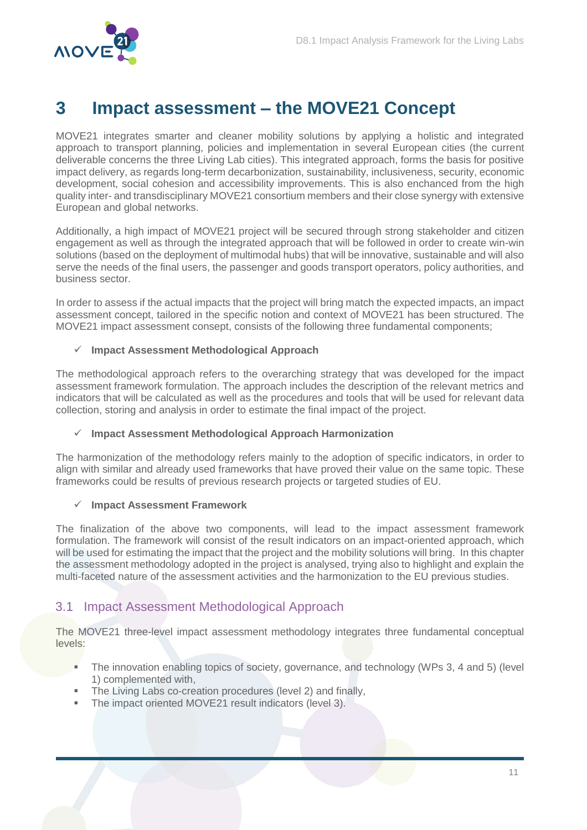

# <span id="page-11-0"></span>**3 Impact assessment – the MOVE21 Concept**

MOVE21 integrates smarter and cleaner mobility solutions by applying a holistic and integrated approach to transport planning, policies and implementation in several European cities (the current deliverable concerns the three Living Lab cities). This integrated approach, forms the basis for positive impact delivery, as regards long-term decarbonization, sustainability, inclusiveness, security, economic development, social cohesion and accessibility improvements. This is also enchanced from the high quality inter- and transdisciplinary MOVE21 consortium members and their close synergy with extensive European and global networks.

Additionally, a high impact of MOVE21 project will be secured through strong stakeholder and citizen engagement as well as through the integrated approach that will be followed in order to create win-win solutions (based on the deployment of multimodal hubs) that will be innovative, sustainable and will also serve the needs of the final users, the passenger and goods transport operators, policy authorities, and business sector.

In order to assess if the actual impacts that the project will bring match the expected impacts, an impact assessment concept, tailored in the specific notion and context of MOVE21 has been structured. The MOVE21 impact assessment consept, consists of the following three fundamental components;

#### **Impact Assessment Methodological Approach**

The methodological approach refers to the overarching strategy that was developed for the impact assessment framework formulation. The approach includes the description of the relevant metrics and indicators that will be calculated as well as the procedures and tools that will be used for relevant data collection, storing and analysis in order to estimate the final impact of the project.

#### **Impact Assessment Methodological Approach Harmonization**

The harmonization of the methodology refers mainly to the adoption of specific indicators, in order to align with similar and already used frameworks that have proved their value on the same topic. These frameworks could be results of previous research projects or targeted studies of EU.

#### **Impact Assessment Framework**

The finalization of the above two components, will lead to the impact assessment framework formulation. The framework will consist of the result indicators on an impact-oriented approach, which will be used for estimating the impact that the project and the mobility solutions will bring. In this chapter the assessment methodology adopted in the project is analysed, trying also to highlight and explain the multi-faceted nature of the assessment activities and the harmonization to the EU previous studies.

### <span id="page-11-1"></span>3.1 Impact Assessment Methodological Approach

The MOVE21 three-level impact assessment methodology integrates three fundamental conceptual levels:

- The innovation enabling topics of society, governance, and technology (WPs 3, 4 and 5) (level 1) complemented with,
- The Living Labs co-creation procedures (level 2) and finally,
- The impact oriented MOVE21 result indicators (level 3).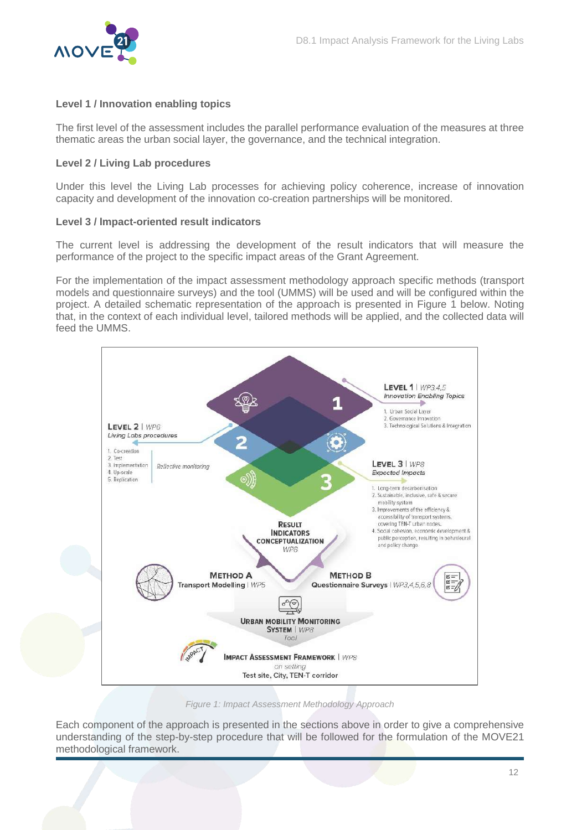

#### **Level 1 / Innovation enabling topics**

The first level of the assessment includes the parallel performance evaluation of the measures at three thematic areas the urban social layer, the governance, and the technical integration.

#### **Level 2 / Living Lab procedures**

Under this level the Living Lab processes for achieving policy coherence, increase of innovation capacity and development of the innovation co-creation partnerships will be monitored.

#### **Level 3 / Ιmpact-oriented result indicators**

The current level is addressing the development of the result indicators that will measure the performance of the project to the specific impact areas of the Grant Agreement.

For the implementation of the impact assessment methodology approach specific methods (transport models and questionnaire surveys) and the tool (UMMS) will be used and will be configured within the project. A detailed schematic representation of the approach is presented in Figure 1 below. Noting that, in the context of each individual level, tailored methods will be applied, and the collected data will feed the UMMS.



*Figure 1: Impact Assessment Methodology Approach*

<span id="page-12-0"></span>Each component of the approach is presented in the sections above in order to give a comprehensive understanding of the step-by-step procedure that will be followed for the formulation of the MOVE21 methodological framework.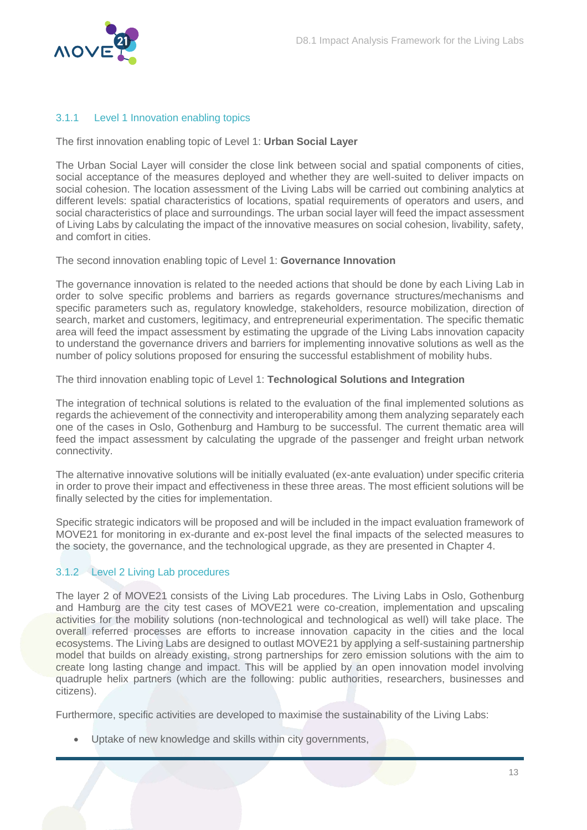

#### <span id="page-13-0"></span>3.1.1 Level 1 Innovation enabling topics

The first innovation enabling topic of Level 1: **Urban Social Layer**

The Urban Social Layer will consider the close link between social and spatial components of cities, social acceptance of the measures deployed and whether they are well-suited to deliver impacts on social cohesion. The location assessment of the Living Labs will be carried out combining analytics at different levels: spatial characteristics of locations, spatial requirements of operators and users, and social characteristics of place and surroundings. The urban social layer will feed the impact assessment of Living Labs by calculating the impact of the innovative measures on social cohesion, livability, safety, and comfort in cities.

The second innovation enabling topic of Level 1: **Governance Innovation** 

The governance innovation is related to the needed actions that should be done by each Living Lab in order to solve specific problems and barriers as regards governance structures/mechanisms and specific parameters such as, regulatory knowledge, stakeholders, resource mobilization, direction of search, market and customers, legitimacy, and entrepreneurial experimentation. The specific thematic area will feed the impact assessment by estimating the upgrade of the Living Labs innovation capacity to understand the governance drivers and barriers for implementing innovative solutions as well as the number of policy solutions proposed for ensuring the successful establishment of mobility hubs.

The third innovation enabling topic of Level 1: **Technological Solutions and Integration**

The integration of technical solutions is related to the evaluation of the final implemented solutions as regards the achievement of the connectivity and interoperability among them analyzing separately each one of the cases in Oslo, Gothenburg and Hamburg to be successful. The current thematic area will feed the impact assessment by calculating the upgrade of the passenger and freight urban network connectivity.

The alternative innovative solutions will be initially evaluated (ex-ante evaluation) under specific criteria in order to prove their impact and effectiveness in these three areas. The most efficient solutions will be finally selected by the cities for implementation.

Specific strategic indicators will be proposed and will be included in the impact evaluation framework of MOVE21 for monitoring in ex-durante and ex-post level the final impacts of the selected measures to the society, the governance, and the technological upgrade, as they are presented in Chapter 4.

#### <span id="page-13-1"></span>3.1.2 Level 2 Living Lab procedures

The layer 2 of MOVE21 consists of the Living Lab procedures. The Living Labs in Oslo, Gothenburg and Hamburg are the city test cases of MOVE21 were co-creation, implementation and upscaling activities for the mobility solutions (non-technological and technological as well) will take place. The overall referred processes are efforts to increase innovation capacity in the cities and the local ecosystems. The Living Labs are designed to outlast MOVE21 by applying a self-sustaining partnership model that builds on already existing, strong partnerships for zero emission solutions with the aim to create long lasting change and impact. This will be applied by an open innovation model involving quadruple helix partners (which are the following: public authorities, researchers, businesses and citizens).

Furthermore, specific activities are developed to maximise the sustainability of the Living Labs:

Uptake of new knowledge and skills within city governments,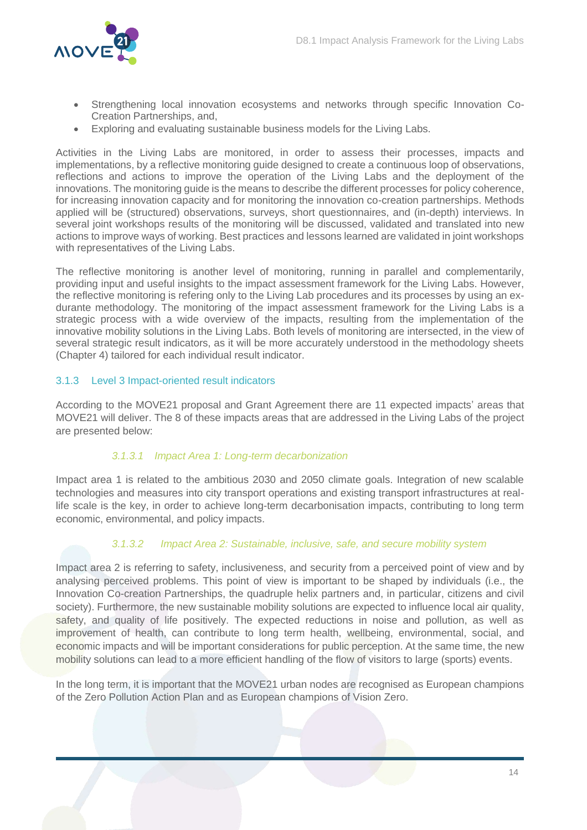

- Strengthening local innovation ecosystems and networks through specific Innovation Co-Creation Partnerships, and,
- Exploring and evaluating sustainable business models for the Living Labs.

Activities in the Living Labs are monitored, in order to assess their processes, impacts and implementations, by a reflective monitoring guide designed to create a continuous loop of observations, reflections and actions to improve the operation of the Living Labs and the deployment of the innovations. The monitoring guide is the means to describe the different processes for policy coherence, for increasing innovation capacity and for monitoring the innovation co-creation partnerships. Methods applied will be (structured) observations, surveys, short questionnaires, and (in-depth) interviews. In several joint workshops results of the monitoring will be discussed, validated and translated into new actions to improve ways of working. Best practices and lessons learned are validated in joint workshops with representatives of the Living Labs.

The reflective monitoring is another level of monitoring, running in parallel and complementarily, providing input and useful insights to the impact assessment framework for the Living Labs. However, the reflective monitoring is refering only to the Living Lab procedures and its processes by using an exdurante methodology. The monitoring of the impact assessment framework for the Living Labs is a strategic process with a wide overview of the impacts, resulting from the implementation of the innovative mobility solutions in the Living Labs. Both levels of monitoring are intersected, in the view of several strategic result indicators, as it will be more accurately understood in the methodology sheets (Chapter 4) tailored for each individual result indicator.

#### <span id="page-14-0"></span>3.1.3 Level 3 Impact-oriented result indicators

According to the MOVE21 proposal and Grant Agreement there are 11 expected impacts' areas that MOVE21 will deliver. The 8 of these impacts areas that are addressed in the Living Labs of the project are presented below:

#### *3.1.3.1 Impact Area 1: Long-term decarbonization*

Impact area 1 is related to the ambitious 2030 and 2050 climate goals. Integration of new scalable technologies and measures into city transport operations and existing transport infrastructures at reallife scale is the key, in order to achieve long-term decarbonisation impacts, contributing to long term economic, environmental, and policy impacts.

#### *3.1.3.2 Impact Area 2: Sustainable, inclusive, safe, and secure mobility system*

Impact area 2 is referring to safety, inclusiveness, and security from a perceived point of view and by analysing perceived problems. This point of view is important to be shaped by individuals (i.e., the Innovation Co-creation Partnerships, the quadruple helix partners and, in particular, citizens and civil society). Furthermore, the new sustainable mobility solutions are expected to influence local air quality, safety, and quality of life positively. The expected reductions in noise and pollution, as well as improvement of health, can contribute to long term health, wellbeing, environmental, social, and economic impacts and will be important considerations for public perception. At the same time, the new mobility solutions can lead to a more efficient handling of the flow of visitors to large (sports) events.

In the long term, it is important that the MOVE21 urban nodes are recognised as European champions of the Zero Pollution Action Plan and as European champions of Vision Zero.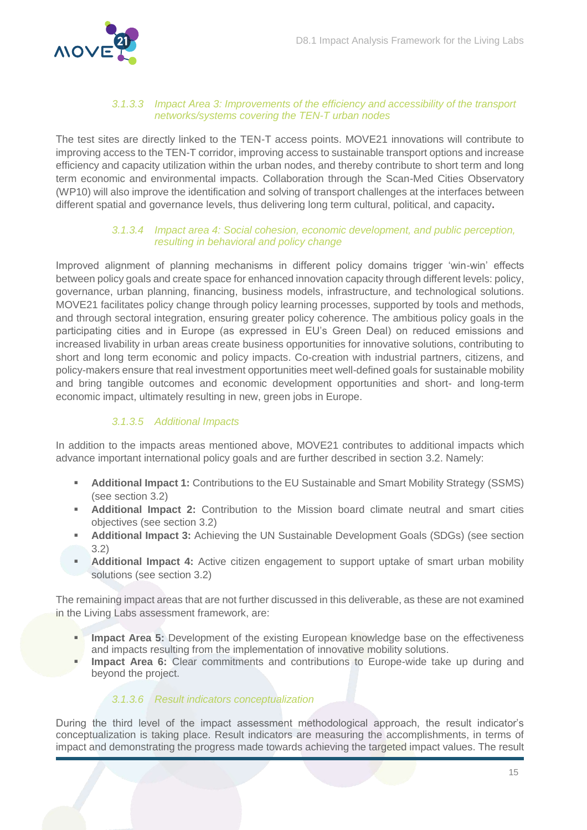

#### *3.1.3.3 Impact Αrea 3: Improvements of the efficiency and accessibility of the transport networks/systems covering the TEN-T urban nodes*

Τhe test sites are directly linked to the TEN-T access points. MOVE21 innovations will contribute to improving access to the TEN-T corridor, improving access to sustainable transport options and increase efficiency and capacity utilization within the urban nodes, and thereby contribute to short term and long term economic and environmental impacts. Collaboration through the Scan-Med Cities Observatory (WP10) will also improve the identification and solving of transport challenges at the interfaces between different spatial and governance levels, thus delivering long term cultural, political, and capacity**.**

#### *3.1.3.4 Impact area 4: Social cohesion, economic development, and public perception, resulting in behavioral and policy change*

Improved alignment of planning mechanisms in different policy domains trigger 'win-win' effects between policy goals and create space for enhanced innovation capacity through different levels: policy, governance, urban planning, financing, business models, infrastructure, and technological solutions. MOVE21 facilitates policy change through policy learning processes, supported by tools and methods, and through sectoral integration, ensuring greater policy coherence. The ambitious policy goals in the participating cities and in Europe (as expressed in EU's Green Deal) on reduced emissions and increased livability in urban areas create business opportunities for innovative solutions, contributing to short and long term economic and policy impacts. Co-creation with industrial partners, citizens, and policy-makers ensure that real investment opportunities meet well-defined goals for sustainable mobility and bring tangible outcomes and economic development opportunities and short- and long-term economic impact, ultimately resulting in new, green jobs in Europe.

#### *3.1.3.5 Additional Impacts*

In addition to the impacts areas mentioned above, MOVE21 contributes to additional impacts which advance important international policy goals and are further described in section 3.2. Namely:

- **Additional Impact 1:** Contributions to the EU Sustainable and Smart Mobility Strategy (SSMS) (see section 3.2)
- **Additional Impact 2:** Contribution to the Mission board climate neutral and smart cities objectives (see section 3.2)
- **Additional Impact 3:** Achieving the UN Sustainable Development Goals (SDGs) (see section 3.2)
- **Additional Impact 4:** Active citizen engagement to support uptake of smart urban mobility solutions (see section 3.2)

The remaining impact areas that are not further discussed in this deliverable, as these are not examined in the Living Labs assessment framework, are:

- **Impact Area 5:** Development of the existing European knowledge base on the effectiveness and impacts resulting from the implementation of innovative mobility solutions.
- **Impact Area 6:** Clear commitments and contributions to Europe-wide take up during and beyond the project.

#### *3.1.3.6 Result indicators conceptualization*

During the third level of the impact assessment methodological approach, the result indicator's conceptualization is taking place. Result indicators are measuring the accomplishments, in terms of impact and demonstrating the progress made towards achieving the targeted impact values. The result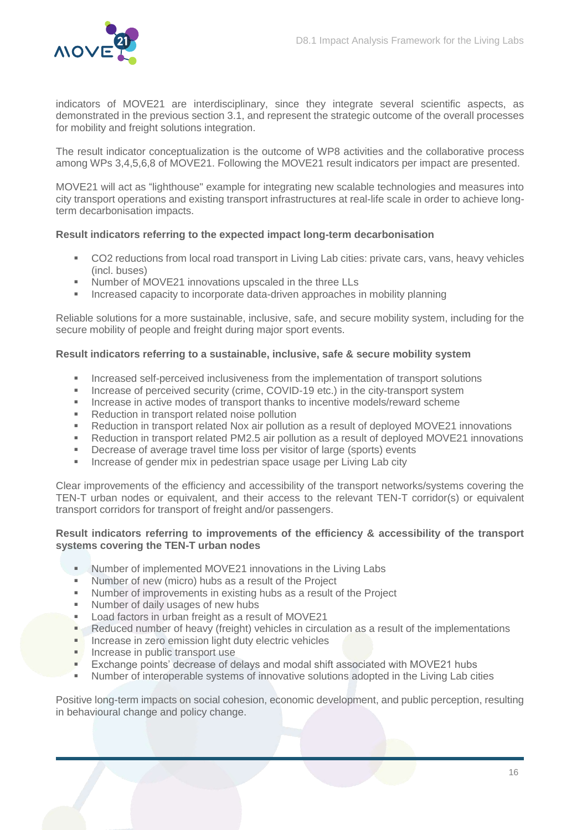

indicators of MOVE21 are interdisciplinary, since they integrate several scientific aspects, as demonstrated in the previous section 3.1, and represent the strategic outcome of the overall processes for mobility and freight solutions integration.

The result indicator conceptualization is the outcome of WP8 activities and the collaborative process among WPs 3,4,5,6,8 of MOVE21. Following the MOVE21 result indicators per impact are presented.

MOVE21 will act as "lighthouse" example for integrating new scalable technologies and measures into city transport operations and existing transport infrastructures at real-life scale in order to achieve longterm decarbonisation impacts.

#### **Result indicators referring to the expected impact long-term decarbonisation**

- CO2 reductions from local road transport in Living Lab cities: private cars, vans, heavy vehicles (incl. buses)
- Number of MOVE21 innovations upscaled in the three LLs
- **Increased capacity to incorporate data-driven approaches in mobility planning**

Reliable solutions for a more sustainable, inclusive, safe, and secure mobility system, including for the secure mobility of people and freight during major sport events.

#### **Result indicators referring to a sustainable, inclusive, safe & secure mobility system**

- **Increased self-perceived inclusiveness from the implementation of transport solutions**
- Increase of perceived security (crime, COVID-19 etc.) in the city-transport system
- Increase in active modes of transport thanks to incentive models/reward scheme<br>Reduction in transport related poise pollution
- Reduction in transport related noise pollution
- Reduction in transport related Nox air pollution as a result of deployed MOVE21 innovations
- Reduction in transport related PM2.5 air pollution as a result of deployed MOVE21 innovations
- Decrease of average travel time loss per visitor of large (sports) events
- **Increase of gender mix in pedestrian space usage per Living Lab city**

Clear improvements of the efficiency and accessibility of the transport networks/systems covering the TEN-T urban nodes or equivalent, and their access to the relevant TEN-T corridor(s) or equivalent transport corridors for transport of freight and/or passengers.

#### **Result indicators referring to improvements of the efficiency & accessibility of the transport systems covering the TEN-T urban nodes**

- **Number of implemented MOVE21 innovations in the Living Labs**
- Number of new (micro) hubs as a result of the Project
- Number of improvements in existing hubs as a result of the Project<br>■ Number of daily usages of new hubs
- Number of daily usages of new hubs
- **Load factors in urban freight as a result of MOVE21**
- **Reduced number of heavy (freight) vehicles in circulation as a result of the implementations**
- **Increase in zero emission light duty electric vehicles**
- **Increase in public transport use**
- **Exchange points' decrease of delays and modal shift associated with MOVE21 hubs**
- Number of interoperable systems of innovative solutions adopted in the Living Lab cities

Positive long-term impacts on social cohesion, economic development, and public perception, resulting in behavioural change and policy change.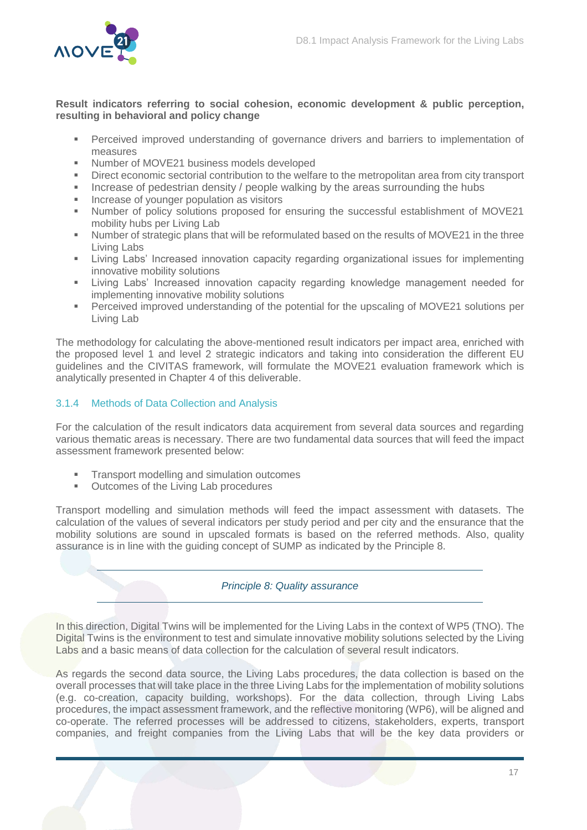

#### **Result indicators referring to social cohesion, economic development & public perception, resulting in behavioral and policy change**

- **Perceived improved understanding of governance drivers and barriers to implementation of** measures
- Number of MOVE21 business models developed
- Direct economic sectorial contribution to the welfare to the metropolitan area from city transport
- Increase of pedestrian density / people walking by the areas surrounding the hubs
- Increase of younger population as visitors<br>In Sumber of policy solutions proposed for
- Number of policy solutions proposed for ensuring the successful establishment of MOVE21 mobility hubs per Living Lab
- Number of strategic plans that will be reformulated based on the results of MOVE21 in the three Living Labs
- Living Labs' Increased innovation capacity regarding organizational issues for implementing innovative mobility solutions
- Living Labs' Increased innovation capacity regarding knowledge management needed for implementing innovative mobility solutions
- Perceived improved understanding of the potential for the upscaling of MOVE21 solutions per Living Lab

The methodology for calculating the above-mentioned result indicators per impact area, enriched with the proposed level 1 and level 2 strategic indicators and taking into consideration the different EU guidelines and the CIVITAS framework, will formulate the MOVE21 evaluation framework which is analytically presented in Chapter 4 of this deliverable.

#### <span id="page-17-0"></span>3.1.4 Methods of Data Collection and Analysis

For the calculation of the result indicators data acquirement from several data sources and regarding various thematic areas is necessary. There are two fundamental data sources that will feed the impact assessment framework presented below:

- **Transport modelling and simulation outcomes**
- Outcomes of the Living Lab procedures

Transport modelling and simulation methods will feed the impact assessment with datasets. The calculation of the values of several indicators per study period and per city and the ensurance that the mobility solutions are sound in upscaled formats is based on the referred methods. Also, quality assurance is in line with the guiding concept of SUMP as indicated by the Principle 8.

#### *Principle 8: Quality assurance*

In this direction, Digital Twins will be implemented for the Living Labs in the context of WP5 (TNO). The Digital Twins is the environment to test and simulate innovative mobility solutions selected by the Living Labs and a basic means of data collection for the calculation of several result indicators.

As regards the second data source, the Living Labs procedures, the data collection is based on the overall processes that will take place in the three Living Labs for the implementation of mobility solutions (e.g. co-creation, capacity building, workshops). For the data collection, through Living Labs procedures, the impact assessment framework, and the reflective monitoring (WP6), will be aligned and co-operate. The referred processes will be addressed to citizens, stakeholders, experts, transport companies, and freight companies from the Living Labs that will be the key data providers or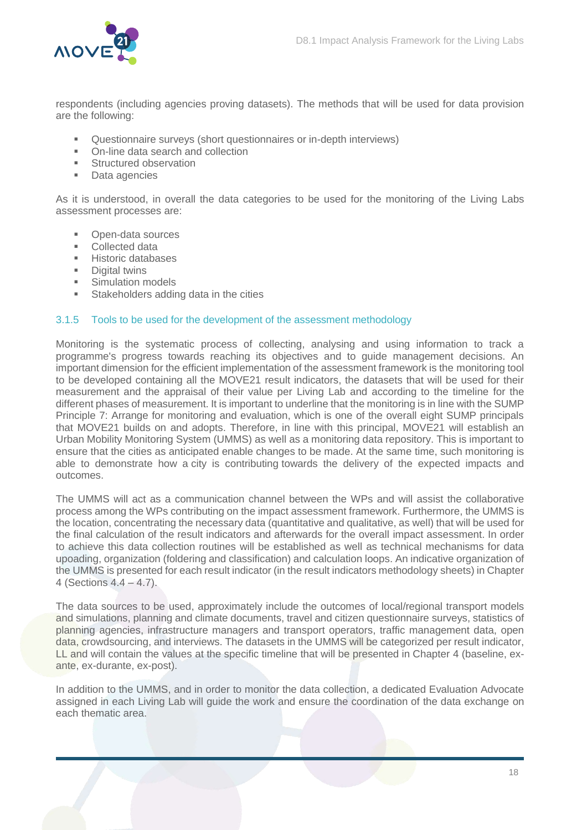

respondents (including agencies proving datasets). The methods that will be used for data provision are the following:

- Questionnaire surveys (short questionnaires or in-depth interviews)
- On-line data search and collection
- **Structured observation**
- **Data agencies**

As it is understood, in overall the data categories to be used for the monitoring of the Living Labs assessment processes are:

- Open-data sources
- **Collected data**
- Historic databases<br>Digital twins
- Digital twins
- **Simulation models**
- **Stakeholders adding data in the cities**

#### <span id="page-18-0"></span>3.1.5 Tools to be used for the development of the assessment methodology

Monitoring is the systematic process of collecting, analysing and using information to track a programme's progress towards reaching its objectives and to guide management decisions. An important dimension for the efficient implementation of the assessment framework is the monitoring tool to be developed containing all the MOVE21 result indicators, the datasets that will be used for their measurement and the appraisal of their value per Living Lab and according to the timeline for the different phases of measurement. It is important to underline that the monitoring is in line with the SUMP Principle 7: Arrange for monitoring and evaluation, which is one of the overall eight SUMP principals that MOVE21 builds on and adopts. Therefore, in line with this principal, MOVE21 will establish an Urban Mobility Monitoring System (UMMS) as well as a monitoring data repository. This is important to ensure that the cities as anticipated enable changes to be made. At the same time, such monitoring is able to demonstrate how a city is contributing towards the delivery of the expected impacts and outcomes.

The UMMS will act as a communication channel between the WPs and will assist the collaborative process among the WPs contributing on the impact assessment framework. Furthermore, the UMMS is the location, concentrating the necessary data (quantitative and qualitative, as well) that will be used for the final calculation of the result indicators and afterwards for the overall impact assessment. In order to achieve this data collection routines will be established as well as technical mechanisms for data upoading, organization (foldering and classification) and calculation lοοps. An indicative organization of the UMMS is presented for each result indicator (in the result indicators methodology sheets) in Chapter 4 (Sections 4.4 – 4.7).

The data sources to be used, approximately include the outcomes of local/regional transport models and simulations, planning and climate documents, travel and citizen questionnaire surveys, statistics of planning agencies, infrastructure managers and transport operators, traffic management data, open data, crowdsourcing, and interviews. The datasets in the UMMS will be categorized per result indicator, LL and will contain the values at the specific timeline that will be presented in Chapter 4 (baseline, exante, ex-durante, ex-post).

In addition to the UMMS, and in order to monitor the data collection, a dedicated Evaluation Advocate assigned in each Living Lab will guide the work and ensure the coordination of the data exchange on each thematic area.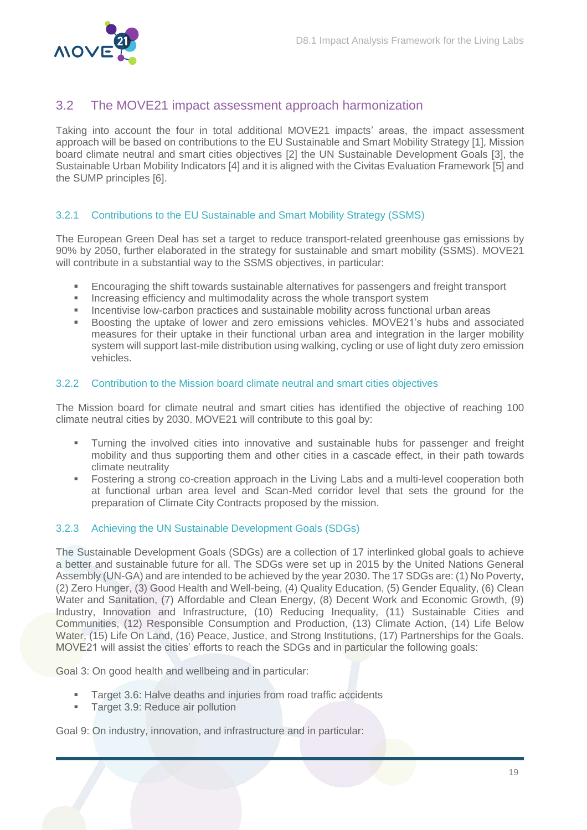

### <span id="page-19-0"></span>3.2 The MOVE21 impact assessment approach harmonization

Taking into account the four in total additional MOVE21 impacts' areas, the impact assessment approach will be based on contributions to the EU Sustainable and Smart Mobility Strategy [1], Mission board climate neutral and smart cities objectives [2] the UN Sustainable Development Goals [3], the Sustainable Urban Mobility Indicators [4] and it is aligned with the Civitas Evaluation Framework [5] and the SUMP principles [6].

#### <span id="page-19-1"></span>3.2.1 Contributions to the EU Sustainable and Smart Mobility Strategy (SSMS)

The European Green Deal has set a target to reduce transport-related greenhouse gas emissions by 90% by 2050, further elaborated in the strategy for sustainable and smart mobility (SSMS). MOVE21 will contribute in a substantial way to the SSMS objectives, in particular:

- Encouraging the shift towards sustainable alternatives for passengers and freight transport
- **Increasing efficiency and multimodality across the whole transport system**
- **Incentivise low-carbon practices and sustainable mobility across functional urban areas**
- **Boosting the uptake of lower and zero emissions vehicles. MOVE21's hubs and associated** measures for their uptake in their functional urban area and integration in the larger mobility system will support last-mile distribution using walking, cycling or use of light duty zero emission vehicles.

#### <span id="page-19-2"></span>3.2.2 Contribution to the Mission board climate neutral and smart cities objectives

The Mission board for climate neutral and smart cities has identified the objective of reaching 100 climate neutral cities by 2030. MOVE21 will contribute to this goal by:

- Turning the involved cities into innovative and sustainable hubs for passenger and freight mobility and thus supporting them and other cities in a cascade effect, in their path towards climate neutrality
- **Fostering a strong co-creation approach in the Living Labs and a multi-level cooperation both** at functional urban area level and Scan-Med corridor level that sets the ground for the preparation of Climate City Contracts proposed by the mission.

#### <span id="page-19-3"></span>3.2.3 Achieving the UN Sustainable Development Goals (SDGs)

The Sustainable Development Goals (SDGs) are a collection of 17 interlinked global goals to achieve a better and sustainable future for all. The SDGs were set up in 2015 by the United Nations General Assembly (UN-GA) and are intended to be achieved by the year 2030. The 17 SDGs are: (1) No Poverty, (2) Zero Hunger, (3) Good Health and Well-being, (4) Quality Education, (5) Gender Equality, (6) Clean Water and Sanitation, (7) Affordable and Clean Energy, (8) Decent Work and Economic Growth, (9) Industry, Innovation and Infrastructure, (10) Reducing Inequality, (11) Sustainable Cities and Communities, (12) Responsible Consumption and Production, (13) Climate Action, (14) Life Below Water, (15) Life On Land, (16) Peace, Justice, and Strong Institutions, (17) Partnerships for the Goals. MOVE21 will assist the cities' efforts to reach the SDGs and in particular the following goals:

Goal 3: On good health and wellbeing and in particular:

- Target 3.6: Halve deaths and injuries from road traffic accidents
- Target 3.9: Reduce air pollution

Goal 9: On industry, innovation, and infrastructure and in particular: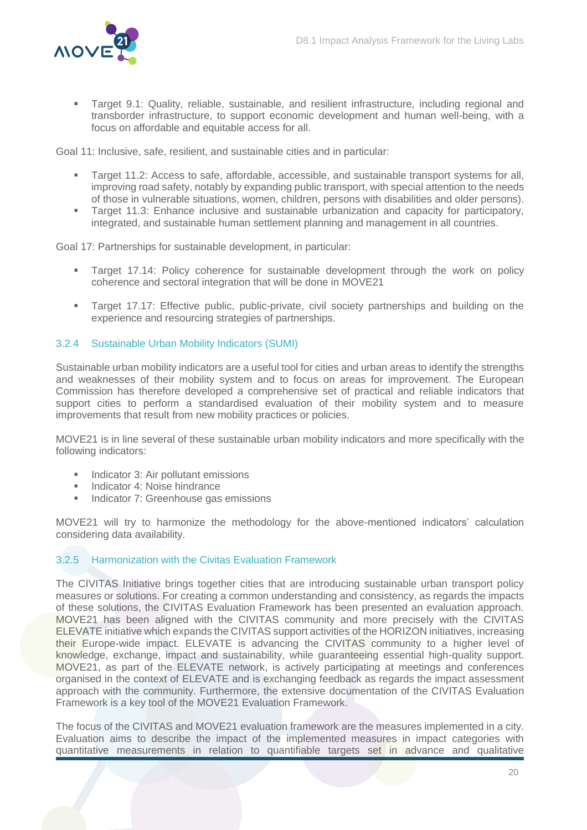

 Target 9.1: Quality, reliable, sustainable, and resilient infrastructure, including regional and transborder infrastructure, to support economic development and human well-being, with a focus on affordable and equitable access for all.

Goal 11: Inclusive, safe, resilient, and sustainable cities and in particular:

- Target 11.2: Access to safe, affordable, accessible, and sustainable transport systems for all, improving road safety, notably by expanding public transport, with special attention to the needs of those in vulnerable situations, women, children, persons with disabilities and older persons).
- Target 11.3: Enhance inclusive and sustainable urbanization and capacity for participatory, integrated, and sustainable human settlement planning and management in all countries.

Goal 17: Partnerships for sustainable development, in particular:

- Target 17.14: Policy coherence for sustainable development through the work on policy coherence and sectoral integration that will be done in MOVE21
- Target 17.17: Effective public, public-private, civil society partnerships and building on the experience and resourcing strategies of partnerships.

#### <span id="page-20-0"></span>3.2.4 Sustainable Urban Mobility Indicators (SUMI)

Sustainable urban mobility indicators are a useful tool for cities and urban areas to identify the strengths and weaknesses of their mobility system and to focus on areas for improvement. The European Commission has therefore developed a comprehensive set of practical and reliable indicators that support cities to perform a standardised evaluation of their mobility system and to measure improvements that result from new mobility practices or policies.

MOVE21 is in line several of these sustainable urban mobility indicators and more specifically with the following indicators:

- Indicator 3: Air pollutant emissions
- **Indicator 4: Noise hindrance**
- Indicator 7: Greenhouse gas emissions

MOVE21 will try to harmonize the methodology for the above-mentioned indicators' calculation considering data availability.

#### <span id="page-20-1"></span>3.2.5 Harmonization with the Civitas Evaluation Framework

The CIVITAS Initiative brings together cities that are introducing sustainable urban transport policy measures or solutions. For creating a common understanding and consistency, as regards the impacts of these solutions, the CIVITAS Evaluation Framework has been presented an evaluation approach. MOVE21 has been aligned with the CIVITAS community and more precisely with the CIVITAS ELEVATE initiative which expands the CIVITAS support activities of the HORIZON initiatives, increasing their Europe-wide impact. ELEVATE is advancing the CIVITAS community to a higher level of knowledge, exchange, impact and sustainability, while guaranteeing essential high-quality support. MOVE21, as part of the ELEVATE network, is actively participating at meetings and conferences organised in the context of ELEVATE and is exchanging feedback as regards the impact assessment approach with the community. Furthermore, the extensive documentation of the CIVITAS Evaluation Framework is a key tool of the MOVE21 Evaluation Framework.

The focus of the CIVITAS and MOVE21 evaluation framework are the measures implemented in a city. Evaluation aims to describe the impact of the implemented measures in impact categories with quantitative measurements in relation to quantifiable targets set in advance and qualitative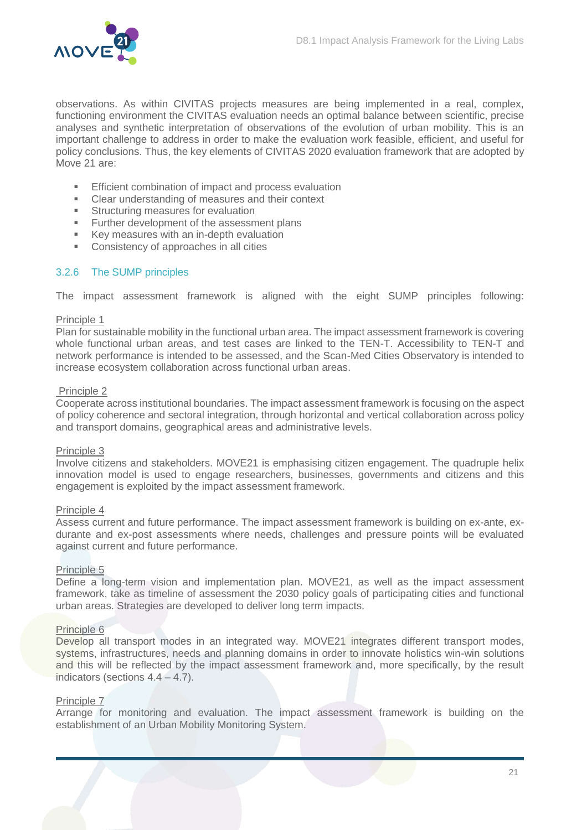

observations. As within CIVITAS projects measures are being implemented in a real, complex, functioning environment the CIVITAS evaluation needs an optimal balance between scientific, precise analyses and synthetic interpretation of observations of the evolution of urban mobility. This is an important challenge to address in order to make the evaluation work feasible, efficient, and useful for policy conclusions. Thus, the key elements of CIVITAS 2020 evaluation framework that are adopted by Move 21 are:

- **Efficient combination of impact and process evaluation**
- Clear understanding of measures and their context<br>■ Structuring measures for evaluation
- Structuring measures for evaluation
- **Further development of the assessment plans**
- Key measures with an in-depth evaluation
- **Consistency of approaches in all cities**

#### <span id="page-21-0"></span>3.2.6 The SUMP principles

The impact assessment framework is aligned with the eight SUMP principles following:

#### Principle 1

Plan for sustainable mobility in the functional urban area. The impact assessment framework is covering whole functional urban areas, and test cases are linked to the TEN-T. Accessibility to TEN-T and network performance is intended to be assessed, and the Scan-Med Cities Observatory is intended to increase ecosystem collaboration across functional urban areas.

#### Principle 2

Cooperate across institutional boundaries. The impact assessment framework is focusing on the aspect of policy coherence and sectoral integration, through horizontal and vertical collaboration across policy and transport domains, geographical areas and administrative levels.

#### Principle 3

Involve citizens and stakeholders. MOVE21 is emphasising citizen engagement. The quadruple helix innovation model is used to engage researchers, businesses, governments and citizens and this engagement is exploited by the impact assessment framework.

#### Principle 4

Assess current and future performance. The impact assessment framework is building on ex-ante, exdurante and ex-post assessments where needs, challenges and pressure points will be evaluated against current and future performance.

#### Principle 5

Define a long-term vision and implementation plan. MOVE21, as well as the impact assessment framework, take as timeline of assessment the 2030 policy goals of participating cities and functional urban areas. Strategies are developed to deliver long term impacts.

#### Principle 6

Develop all transport modes in an integrated way. MOVE21 integrates different transport modes, systems, infrastructures, needs and planning domains in order to innovate holistics win-win solutions and this will be reflected by the impact assessment framework and, more specifically, by the result indicators (sections 4.4 – 4.7).

#### Principle 7

Arrange for monitoring and evaluation. The impact assessment framework is building on the establishment of an Urban Mobility Monitoring System.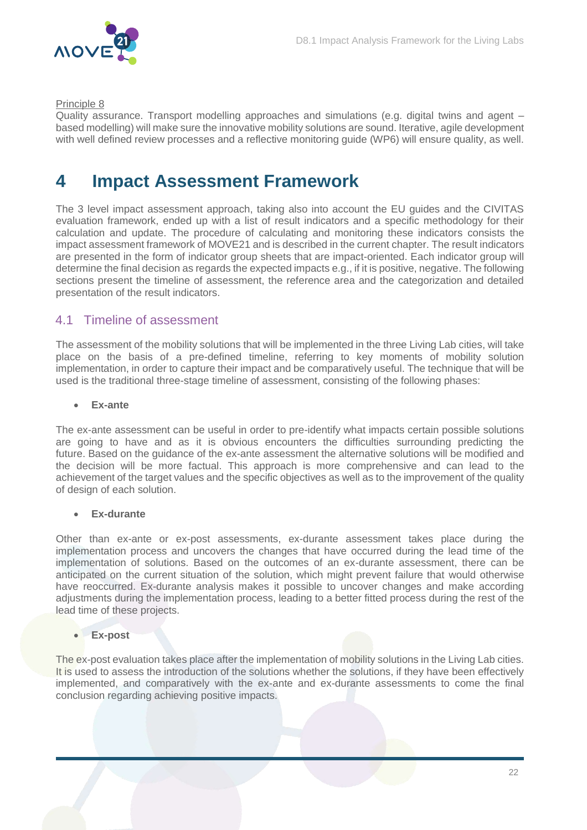

#### Principle 8

Quality assurance. Transport modelling approaches and simulations (e.g. digital twins and agent – based modelling) will make sure the innovative mobility solutions are sound. Iterative, agile development with well defined review processes and a reflective monitoring guide (WP6) will ensure quality, as well.

### <span id="page-22-0"></span>**4 Impact Assessment Framework**

The 3 level impact assessment approach, taking also into account the EU guides and the CIVITAS evaluation framework, ended up with a list of result indicators and a specific methodology for their calculation and update. The procedure of calculating and monitoring these indicators consists the impact assessment framework of MOVE21 and is described in the current chapter. The result indicators are presented in the form of indicator group sheets that are impact-oriented. Each indicator group will determine the final decision as regards the expected impacts e.g., if it is positive, negative. The following sections present the timeline of assessment, the reference area and the categorization and detailed presentation of the result indicators.

### <span id="page-22-1"></span>4.1 Timeline of assessment

The assessment of the mobility solutions that will be implemented in the three Living Lab cities, will take place on the basis of a pre-defined timeline, referring to key moments of mobility solution implementation, in order to capture their impact and be comparatively useful. The technique that will be used is the traditional three-stage timeline of assessment, consisting of the following phases:

#### **Ex-ante**

The ex-ante assessment can be useful in order to pre-identify what impacts certain possible solutions are going to have and as it is obvious encounters the difficulties surrounding predicting the future. Based on the guidance of the ex-ante assessment the alternative solutions will be modified and the decision will be more factual. This approach is more comprehensive and can lead to the achievement of the target values and the specific objectives as well as to the improvement of the quality of design of each solution.

#### **Ex-durante**

Other than ex-ante or ex-post assessments, ex-durante assessment takes place during the implementation process and uncovers the changes that have occurred during the lead time of the implementation of solutions. Based on the outcomes of an ex-durante assessment, there can be anticipated on the current situation of the solution, which might prevent failure that would otherwise have reoccurred. Ex-durante analysis makes it possible to uncover changes and make according adjustments during the implementation process, leading to a better fitted process during the rest of the lead time of these projects.

#### **Ex-post**

The ex-post evaluation takes place after the implementation of mobility solutions in the Living Lab cities. It is used to assess the introduction of the solutions whether the solutions, if they have been effectively implemented, and comparatively with the ex-ante and ex-durante assessments to come the final conclusion regarding achieving positive impacts.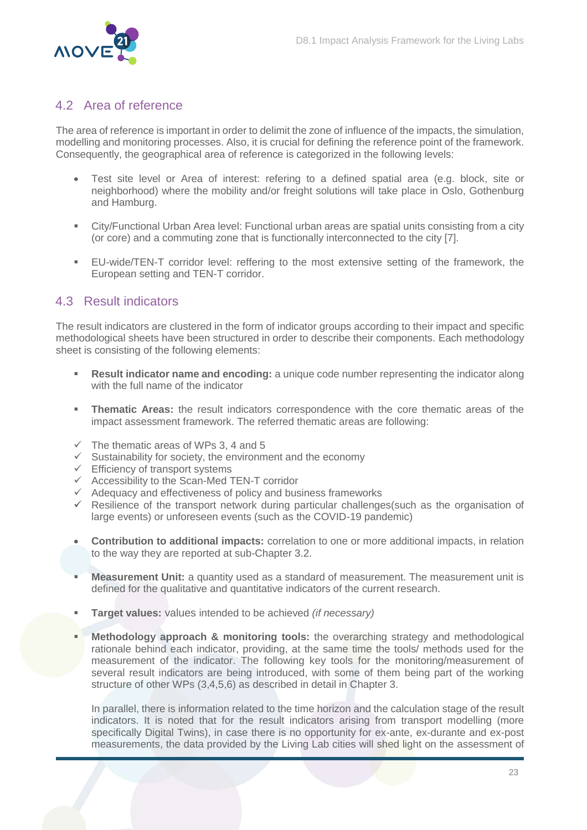

### <span id="page-23-0"></span>4.2 Area of reference

The area of reference is important in order to delimit the zone of influence of the impacts, the simulation, modelling and monitoring processes. Also, it is crucial for defining the reference point of the framework. Consequently, the geographical area of reference is categorized in the following levels:

- Test site level or Area of interest: refering to a defined spatial area (e.g. block, site or neighborhood) where the mobility and/or freight solutions will take place in Oslo, Gothenburg and Hamburg.
- City/Functional Urban Area level: Functional urban areas are spatial units consisting from a city (or core) and a commuting zone that is functionally interconnected to the city [7].
- EU-wide/TEN-T corridor level: reffering to the most extensive setting of the framework, the European setting and TEN-T corridor.

### <span id="page-23-1"></span>4.3 Result indicators

The result indicators are clustered in the form of indicator groups according to their impact and specific methodological sheets have been structured in order to describe their components. Each methodology sheet is consisting of the following elements:

- **Result indicator name and encoding:** a unique code number representing the indicator along with the full name of the indicator
- **Thematic Areas:** the result indicators correspondence with the core thematic areas of the impact assessment framework. The referred thematic areas are following:
- $\checkmark$  The thematic areas of WPs 3, 4 and 5
- $\checkmark$  Sustainability for society, the environment and the economy
- $\checkmark$  Efficiency of transport systems
- $\checkmark$  Accessibility to the Scan-Med TEN-T corridor
- $\checkmark$  Adequacy and effectiveness of policy and business frameworks
- $\checkmark$  Resilience of the transport network during particular challenges(such as the organisation of large events) or unforeseen events (such as the COVID-19 pandemic)
- **Contribution to additional impacts:** correlation to one or more additional impacts, in relation to the way they are reported at sub-Chapter 3.2.
- **Measurement Unit:** a quantity used as a standard of measurement. The measurement unit is defined for the qualitative and quantitative indicators of the current research.
- **Target values:** values intended to be achieved *(if necessary)*
- **Methodology approach & monitoring tools:** the overarching strategy and methodological rationale behind each indicator, providing, at the same time the tools/ methods used for the measurement of the indicator. The following key tools for the monitoring/measurement of several result indicators are being introduced, with some of them being part of the working structure of other WPs (3,4,5,6) as described in detail in Chapter 3.

In parallel, there is information related to the time horizon and the calculation stage of the result indicators. It is noted that for the result indicators arising from transport modelling (more specifically Digital Twins), in case there is no opportunity for ex-ante, ex-durante and ex-post measurements, the data provided by the Living Lab cities will shed light on the assessment of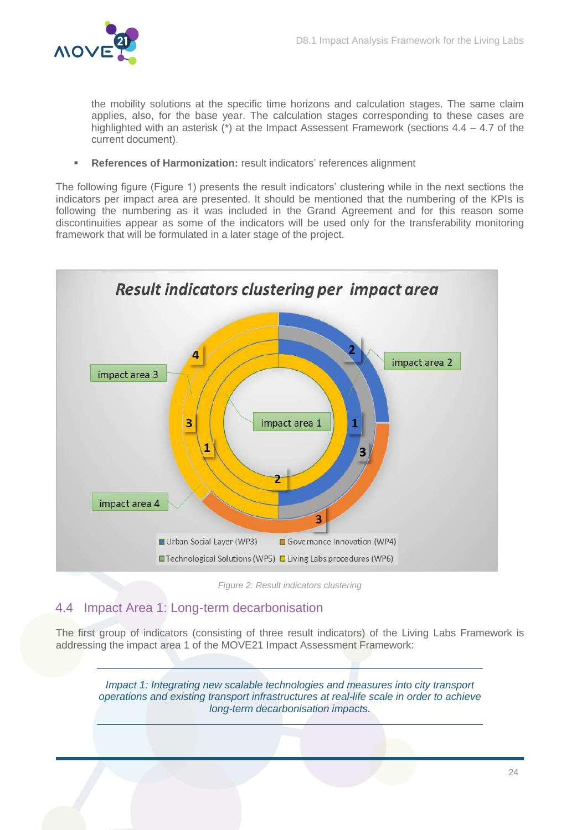

the mobility solutions at the specific time horizons and calculation stages. The same claim applies, also, for the base year. The calculation stages corresponding to these cases are highlighted with an asterisk (\*) at the Impact Assessent Framework (sections 4.4 – 4.7 of the current document).

**References of Harmonization:** result indicators' references alignment

The following figure (Figure 1) presents the result indicators' clustering while in the next sections the indicators per impact area are presented. It should be mentioned that the numbering of the KPIs is following the numbering as it was included in the Grand Agreement and for this reason some discontinuities appear as some of the indicators will be used only for the transferability monitoring framework that will be formulated in a later stage of the project.



*Figure 2: Result indicators clustering*

### <span id="page-24-1"></span><span id="page-24-0"></span>4.4 Impact Area 1: Long-term decarbonisation

The first group of indicators (consisting of three result indicators) of the Living Labs Framework is addressing the impact area 1 of the MOVE21 Impact Assessment Framework:

*Impact 1: Integrating new scalable technologies and measures into city transport operations and existing transport infrastructures at real-life scale in order to achieve long-term decarbonisation impacts.*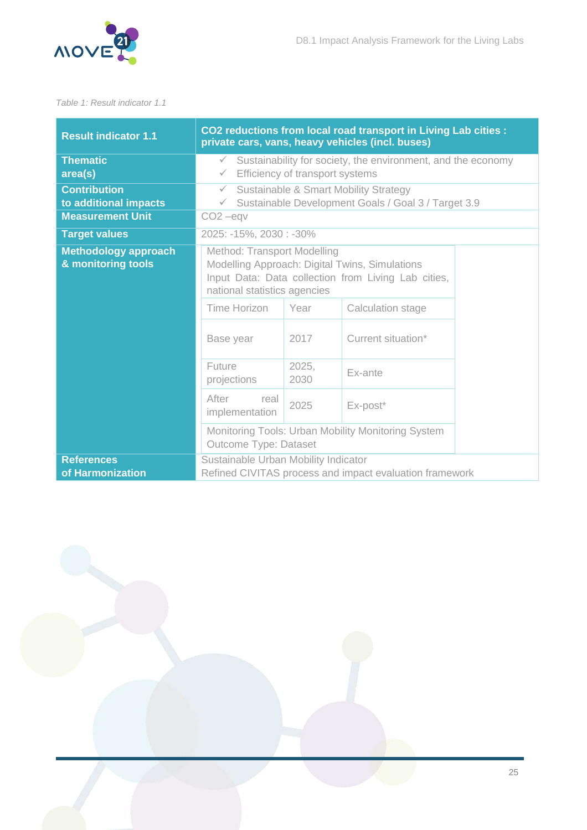

#### <span id="page-25-0"></span>*Table 1: Result indicator 1.1*

| <b>Result indicator 1.1</b>                       | CO2 reductions from local road transport in Living Lab cities :<br>private cars, vans, heavy vehicles (incl. buses)                                                  |               |                                                                                                         |  |  |  |
|---------------------------------------------------|----------------------------------------------------------------------------------------------------------------------------------------------------------------------|---------------|---------------------------------------------------------------------------------------------------------|--|--|--|
| <b>Thematic</b><br>area(s)                        | Sustainability for society, the environment, and the economy<br>$\checkmark$<br>Efficiency of transport systems<br>$\checkmark$                                      |               |                                                                                                         |  |  |  |
| <b>Contribution</b><br>to additional impacts      | $\checkmark$<br>$\checkmark$                                                                                                                                         |               | <b>Sustainable &amp; Smart Mobility Strategy</b><br>Sustainable Development Goals / Goal 3 / Target 3.9 |  |  |  |
| <b>Measurement Unit</b>                           | $CO2 -$ eqv                                                                                                                                                          |               |                                                                                                         |  |  |  |
| <b>Target values</b>                              | 2025: -15%, 2030: -30%                                                                                                                                               |               |                                                                                                         |  |  |  |
| <b>Methodology approach</b><br>& monitoring tools | Method: Transport Modelling<br>Modelling Approach: Digital Twins, Simulations<br>Input Data: Data collection from Living Lab cities,<br>national statistics agencies |               |                                                                                                         |  |  |  |
|                                                   | Time Horizon                                                                                                                                                         | Year          | Calculation stage                                                                                       |  |  |  |
|                                                   | Base year                                                                                                                                                            | 2017          | Current situation*                                                                                      |  |  |  |
|                                                   | Future<br>projections                                                                                                                                                | 2025,<br>2030 | Ex-ante                                                                                                 |  |  |  |
|                                                   | After<br>real<br>implementation                                                                                                                                      | 2025          | Ex-post*                                                                                                |  |  |  |
|                                                   | Monitoring Tools: Urban Mobility Monitoring System<br>Outcome Type: Dataset                                                                                          |               |                                                                                                         |  |  |  |
| <b>References</b><br>of Harmonization             | Sustainable Urban Mobility Indicator<br>Refined CIVITAS process and impact evaluation framework                                                                      |               |                                                                                                         |  |  |  |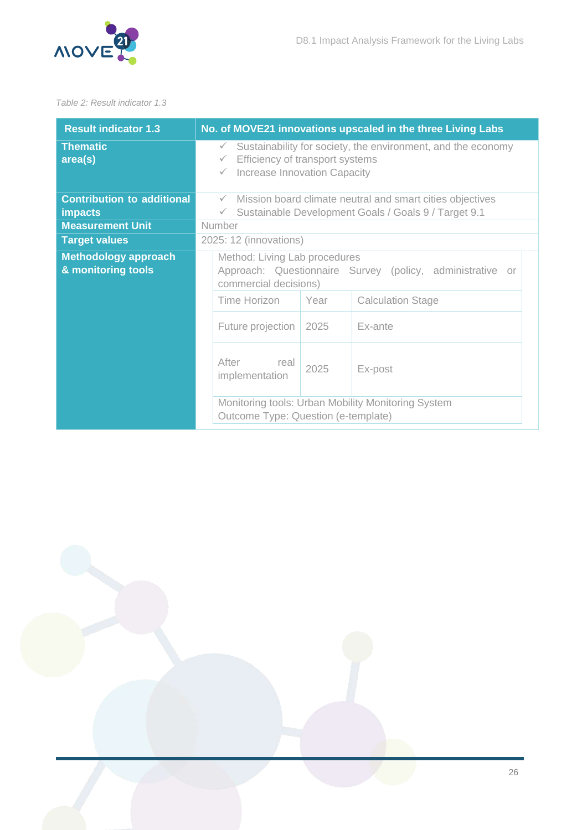

#### <span id="page-26-0"></span>*Table 2: Result indicator 1.3*

| <b>Result indicator 1.3</b>                       | No. of MOVE21 innovations upscaled in the three Living Labs                                                                                                     |  |  |  |
|---------------------------------------------------|-----------------------------------------------------------------------------------------------------------------------------------------------------------------|--|--|--|
| <b>Thematic</b><br>area(s)                        | Sustainability for society, the environment, and the economy<br>$\checkmark$<br>Efficiency of transport systems<br>$\checkmark$<br>Increase Innovation Capacity |  |  |  |
| <b>Contribution to additional</b>                 | Mission board climate neutral and smart cities objectives<br>$\checkmark$                                                                                       |  |  |  |
| <b>impacts</b><br><b>Measurement Unit</b>         | Sustainable Development Goals / Goals 9 / Target 9.1<br>$\checkmark$<br>Number                                                                                  |  |  |  |
| <b>Target values</b>                              | 2025: 12 (innovations)                                                                                                                                          |  |  |  |
| <b>Methodology approach</b><br>& monitoring tools | Method: Living Lab procedures<br>Approach: Questionnaire Survey (policy, administrative<br>0ľ<br>commercial decisions)                                          |  |  |  |
|                                                   | Time Horizon<br>Year<br><b>Calculation Stage</b>                                                                                                                |  |  |  |
|                                                   | Ex-ante<br>Future projection<br>2025                                                                                                                            |  |  |  |
|                                                   | After<br>real<br>2025<br>Ex-post<br>implementation                                                                                                              |  |  |  |
|                                                   | Monitoring tools: Urban Mobility Monitoring System<br>Outcome Type: Question (e-template)                                                                       |  |  |  |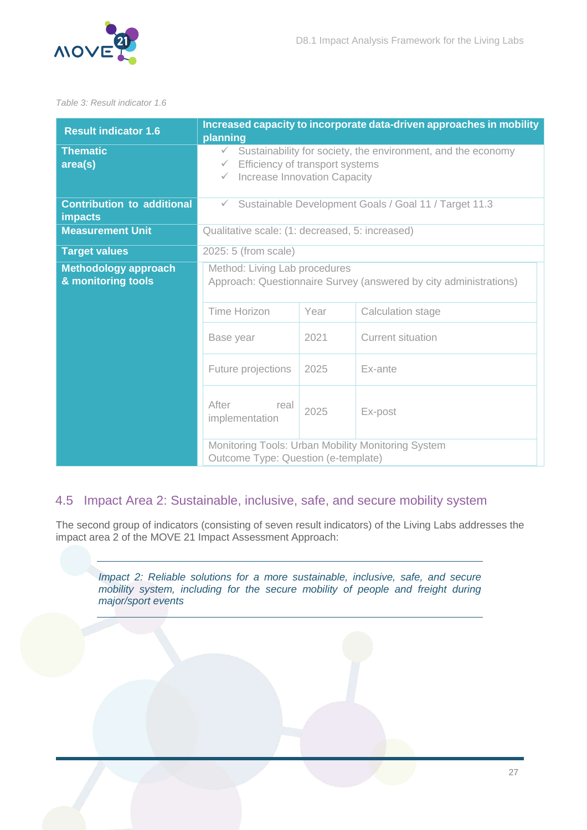

#### <span id="page-27-1"></span>*Table 3: Result indicator 1.6*

| <b>Result indicator 1.6</b>                         | planning                                                                                                                                                        |      | Increased capacity to incorporate data-driven approaches in mobility |  |
|-----------------------------------------------------|-----------------------------------------------------------------------------------------------------------------------------------------------------------------|------|----------------------------------------------------------------------|--|
| <b>Thematic</b><br>area(s)                          | Sustainability for society, the environment, and the economy<br>$\checkmark$<br>Efficiency of transport systems<br>$\checkmark$<br>Increase Innovation Capacity |      |                                                                      |  |
| <b>Contribution to additional</b><br><b>impacts</b> | Sustainable Development Goals / Goal 11 / Target 11.3<br>$\checkmark$                                                                                           |      |                                                                      |  |
| <b>Measurement Unit</b>                             | Qualitative scale: (1: decreased, 5: increased)                                                                                                                 |      |                                                                      |  |
| <b>Target values</b>                                | 2025: 5 (from scale)                                                                                                                                            |      |                                                                      |  |
| <b>Methodology approach</b><br>& monitoring tools   | Method: Living Lab procedures<br>Approach: Questionnaire Survey (answered by city administrations)                                                              |      |                                                                      |  |
|                                                     | Time Horizon                                                                                                                                                    | Year | Calculation stage                                                    |  |
|                                                     | Base year                                                                                                                                                       | 2021 | <b>Current situation</b>                                             |  |
|                                                     | Future projections                                                                                                                                              | 2025 | Ex-ante                                                              |  |
|                                                     | After<br>real<br>implementation                                                                                                                                 | 2025 | Ex-post                                                              |  |
|                                                     | Outcome Type: Question (e-template)                                                                                                                             |      | Monitoring Tools: Urban Mobility Monitoring System                   |  |

### <span id="page-27-0"></span>4.5 Impact Area 2: Sustainable, inclusive, safe, and secure mobility system

The second group of indicators (consisting of seven result indicators) of the Living Labs addresses the impact area 2 of the MOVE 21 Impact Assessment Approach:

*Impact 2: Reliable solutions for a more sustainable, inclusive, safe, and secure mobility system, including for the secure mobility of people and freight during major/sport events*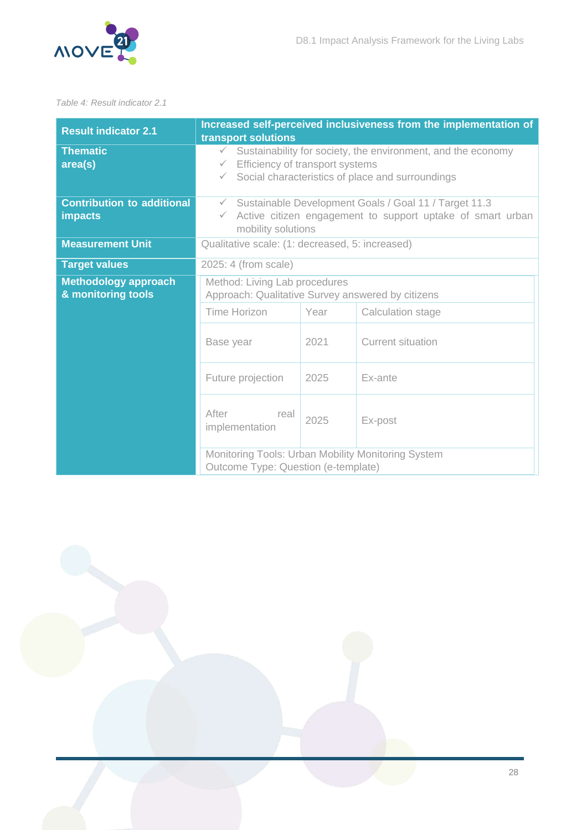

#### <span id="page-28-0"></span>*Table 4: Result indicator 2.1*

| <b>Result indicator 2.1</b>                         | Increased self-perceived inclusiveness from the implementation of<br>transport solutions                                                                                                            |      |                   |  |
|-----------------------------------------------------|-----------------------------------------------------------------------------------------------------------------------------------------------------------------------------------------------------|------|-------------------|--|
| <b>Thematic</b><br>area(s)                          | Sustainability for society, the environment, and the economy<br>$\checkmark$<br>Efficiency of transport systems<br>$\checkmark$<br>Social characteristics of place and surroundings<br>$\checkmark$ |      |                   |  |
| <b>Contribution to additional</b><br><b>impacts</b> | Sustainable Development Goals / Goal 11 / Target 11.3<br>$\checkmark$<br>$\checkmark$ Active citizen engagement to support uptake of smart urban<br>mobility solutions                              |      |                   |  |
| <b>Measurement Unit</b>                             | Qualitative scale: (1: decreased, 5: increased)                                                                                                                                                     |      |                   |  |
| <b>Target values</b>                                | 2025: 4 (from scale)                                                                                                                                                                                |      |                   |  |
| <b>Methodology approach</b><br>& monitoring tools   | Method: Living Lab procedures<br>Approach: Qualitative Survey answered by citizens                                                                                                                  |      |                   |  |
|                                                     | Time Horizon                                                                                                                                                                                        | Year | Calculation stage |  |
|                                                     | Base year                                                                                                                                                                                           | 2021 | Current situation |  |
|                                                     | Future projection                                                                                                                                                                                   | 2025 | Ex-ante           |  |
|                                                     | After<br>real<br>implementation                                                                                                                                                                     | 2025 | Ex-post           |  |
|                                                     | Monitoring Tools: Urban Mobility Monitoring System<br>Outcome Type: Question (e-template)                                                                                                           |      |                   |  |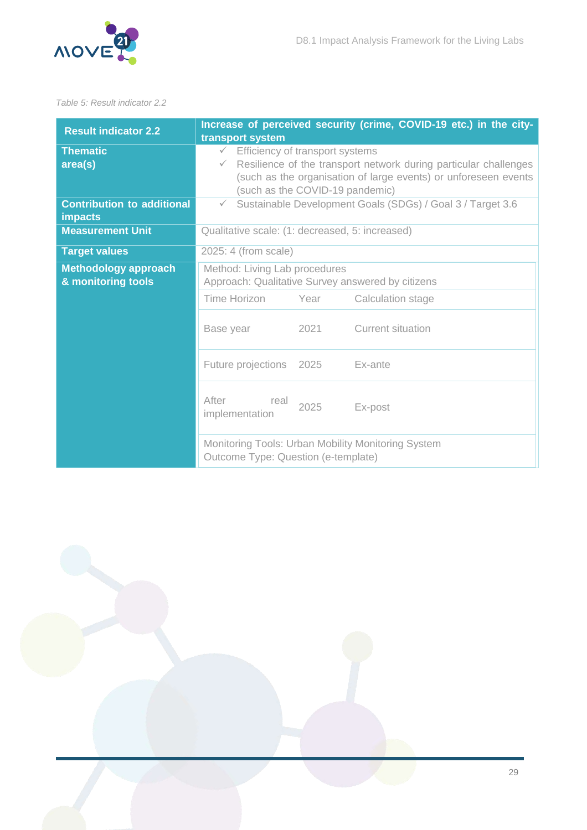

#### <span id="page-29-0"></span>*Table 5: Result indicator 2.2*

| <b>Result indicator 2.2</b>                         | Increase of perceived security (crime, COVID-19 etc.) in the city-<br>transport system                                                                                                                                                    |  |  |  |
|-----------------------------------------------------|-------------------------------------------------------------------------------------------------------------------------------------------------------------------------------------------------------------------------------------------|--|--|--|
| <b>Thematic</b><br>area(s)                          | Efficiency of transport systems<br>$\checkmark$<br>Resilience of the transport network during particular challenges<br>$\checkmark$<br>(such as the organisation of large events) or unforeseen events<br>(such as the COVID-19 pandemic) |  |  |  |
| <b>Contribution to additional</b><br><b>impacts</b> | Sustainable Development Goals (SDGs) / Goal 3 / Target 3.6<br>$\checkmark$                                                                                                                                                                |  |  |  |
| <b>Measurement Unit</b>                             | Qualitative scale: (1: decreased, 5: increased)                                                                                                                                                                                           |  |  |  |
| <b>Target values</b>                                | 2025: 4 (from scale)                                                                                                                                                                                                                      |  |  |  |
| <b>Methodology approach</b><br>& monitoring tools   | Method: Living Lab procedures<br>Approach: Qualitative Survey answered by citizens                                                                                                                                                        |  |  |  |
|                                                     | Time Horizon<br>Year<br>Calculation stage                                                                                                                                                                                                 |  |  |  |
|                                                     | 2021<br><b>Current situation</b><br>Base year                                                                                                                                                                                             |  |  |  |
|                                                     | Future projections 2025<br>Ex-ante                                                                                                                                                                                                        |  |  |  |
|                                                     | After<br>real<br>2025<br>Ex-post<br>implementation                                                                                                                                                                                        |  |  |  |
|                                                     | Monitoring Tools: Urban Mobility Monitoring System<br>Outcome Type: Question (e-template)                                                                                                                                                 |  |  |  |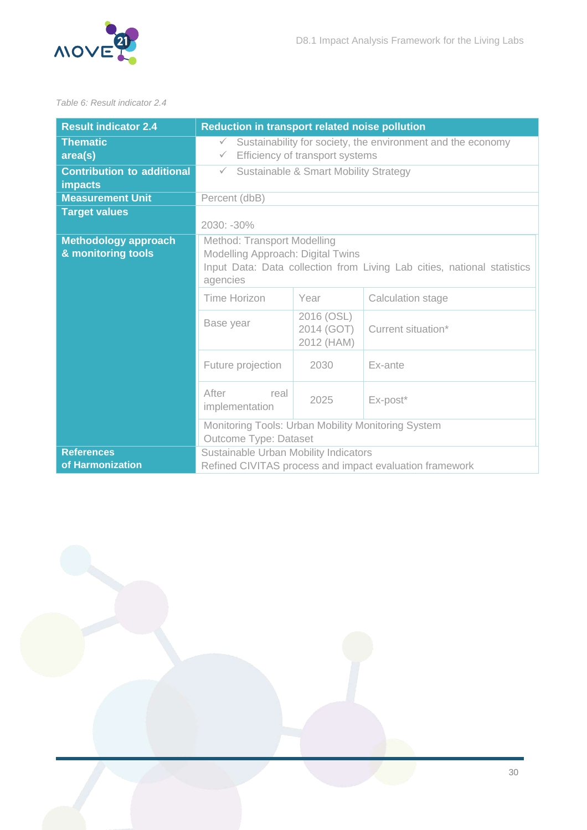

#### <span id="page-30-0"></span>*Table 6: Result indicator 2.4*

| <b>Result indicator 2.4</b>                         | Reduction in transport related noise pollution                                                                                                          |                    |                                                         |  |
|-----------------------------------------------------|---------------------------------------------------------------------------------------------------------------------------------------------------------|--------------------|---------------------------------------------------------|--|
| <b>Thematic</b><br>area(s)                          | Sustainability for society, the environment and the economy<br>$\checkmark$<br>Efficiency of transport systems<br>$\checkmark$                          |                    |                                                         |  |
| <b>Contribution to additional</b><br><b>impacts</b> | Sustainable & Smart Mobility Strategy<br>$\checkmark$                                                                                                   |                    |                                                         |  |
| <b>Measurement Unit</b>                             | Percent (dbB)                                                                                                                                           |                    |                                                         |  |
| <b>Target values</b>                                | 2030: -30%                                                                                                                                              |                    |                                                         |  |
| <b>Methodology approach</b><br>& monitoring tools   | Method: Transport Modelling<br>Modelling Approach: Digital Twins<br>Input Data: Data collection from Living Lab cities, national statistics<br>agencies |                    |                                                         |  |
|                                                     | Time Horizon                                                                                                                                            | Year               | Calculation stage                                       |  |
|                                                     | Base year                                                                                                                                               | Current situation* |                                                         |  |
|                                                     | Future projection<br>2030<br>Ex-ante                                                                                                                    |                    |                                                         |  |
|                                                     | After<br>real<br>implementation                                                                                                                         | Ex-post*           |                                                         |  |
|                                                     | Monitoring Tools: Urban Mobility Monitoring System<br>Outcome Type: Dataset                                                                             |                    |                                                         |  |
| <b>References</b><br>of Harmonization               | Sustainable Urban Mobility Indicators                                                                                                                   |                    | Refined CIVITAS process and impact evaluation framework |  |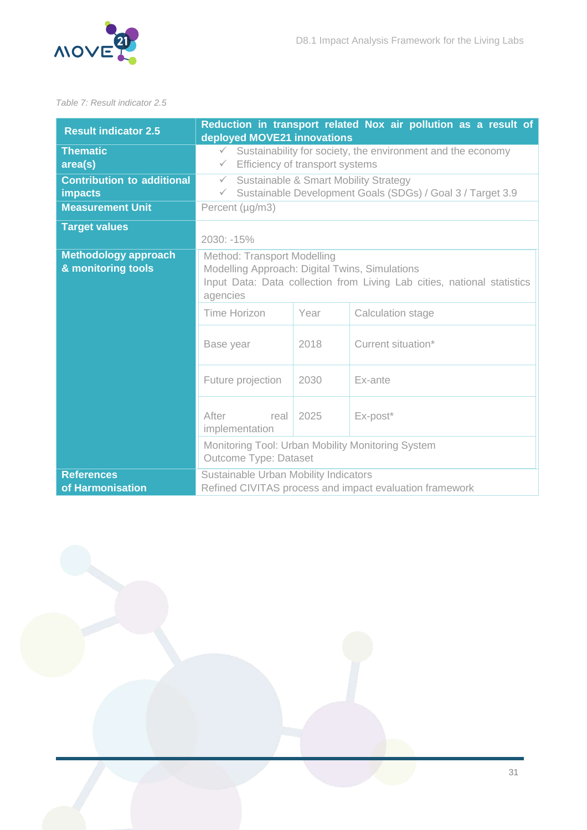

#### <span id="page-31-0"></span>*Table 7: Result indicator 2.5*

| <b>Result indicator 2.5</b>                         | Reduction in transport related Nox air pollution as a result of<br>deployed MOVE21 innovations                                                                       |                    |          |  |  |
|-----------------------------------------------------|----------------------------------------------------------------------------------------------------------------------------------------------------------------------|--------------------|----------|--|--|
| <b>Thematic</b><br>area(s)                          | Sustainability for society, the environment and the economy<br>$\checkmark$<br>Efficiency of transport systems<br>$\checkmark$                                       |                    |          |  |  |
| <b>Contribution to additional</b><br><b>impacts</b> | <b>Sustainable &amp; Smart Mobility Strategy</b><br>$\checkmark$<br>Sustainable Development Goals (SDGs) / Goal 3 / Target 3.9<br>$\checkmark$                       |                    |          |  |  |
| <b>Measurement Unit</b>                             | Percent (µg/m3)                                                                                                                                                      |                    |          |  |  |
| <b>Target values</b>                                | 2030: -15%                                                                                                                                                           |                    |          |  |  |
| <b>Methodology approach</b><br>& monitoring tools   | Method: Transport Modelling<br>Modelling Approach: Digital Twins, Simulations<br>Input Data: Data collection from Living Lab cities, national statistics<br>agencies |                    |          |  |  |
|                                                     | <b>Time Horizon</b><br>Year<br>Calculation stage                                                                                                                     |                    |          |  |  |
|                                                     | Base year                                                                                                                                                            | Current situation* |          |  |  |
|                                                     | Future projection<br>2030<br>Ex-ante                                                                                                                                 |                    |          |  |  |
|                                                     | After<br>real<br>implementation                                                                                                                                      | 2025               | Ex-post* |  |  |
|                                                     | Monitoring Tool: Urban Mobility Monitoring System<br><b>Outcome Type: Dataset</b>                                                                                    |                    |          |  |  |
| <b>References</b><br>of Harmonisation               | Sustainable Urban Mobility Indicators<br>Refined CIVITAS process and impact evaluation framework                                                                     |                    |          |  |  |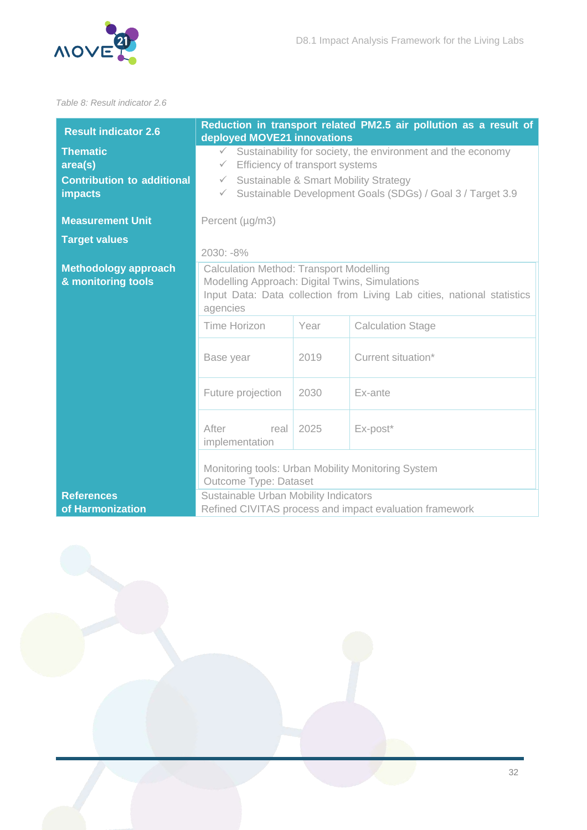

#### <span id="page-32-0"></span>*Table 8: Result indicator 2.6*

| <b>Result indicator 2.6</b>                                                       | Reduction in transport related PM2.5 air pollution as a result of<br>deployed MOVE21 innovations                                                                                                                                                                      |      |                    |  |  |
|-----------------------------------------------------------------------------------|-----------------------------------------------------------------------------------------------------------------------------------------------------------------------------------------------------------------------------------------------------------------------|------|--------------------|--|--|
| <b>Thematic</b><br>area(s)<br><b>Contribution to additional</b><br><b>impacts</b> | Sustainability for society, the environment and the economy<br>$\checkmark$<br>Efficiency of transport systems<br>$\checkmark$<br>Sustainable & Smart Mobility Strategy<br>$\checkmark$<br>Sustainable Development Goals (SDGs) / Goal 3 / Target 3.9<br>$\checkmark$ |      |                    |  |  |
| <b>Measurement Unit</b>                                                           | Percent (µg/m3)                                                                                                                                                                                                                                                       |      |                    |  |  |
| <b>Target values</b>                                                              | 2030: -8%                                                                                                                                                                                                                                                             |      |                    |  |  |
| <b>Methodology approach</b><br>& monitoring tools                                 | <b>Calculation Method: Transport Modelling</b><br>Modelling Approach: Digital Twins, Simulations<br>Input Data: Data collection from Living Lab cities, national statistics<br>agencies                                                                               |      |                    |  |  |
|                                                                                   | <b>Time Horizon</b><br>Year<br><b>Calculation Stage</b>                                                                                                                                                                                                               |      |                    |  |  |
|                                                                                   | Base year                                                                                                                                                                                                                                                             | 2019 | Current situation* |  |  |
|                                                                                   | Future projection                                                                                                                                                                                                                                                     | 2030 | Ex-ante            |  |  |
|                                                                                   | After<br>2025<br>Ex-post*<br>real<br>implementation                                                                                                                                                                                                                   |      |                    |  |  |
|                                                                                   | Monitoring tools: Urban Mobility Monitoring System<br><b>Outcome Type: Dataset</b>                                                                                                                                                                                    |      |                    |  |  |
| <b>References</b><br>of Harmonization                                             | Sustainable Urban Mobility Indicators<br>Refined CIVITAS process and impact evaluation framework                                                                                                                                                                      |      |                    |  |  |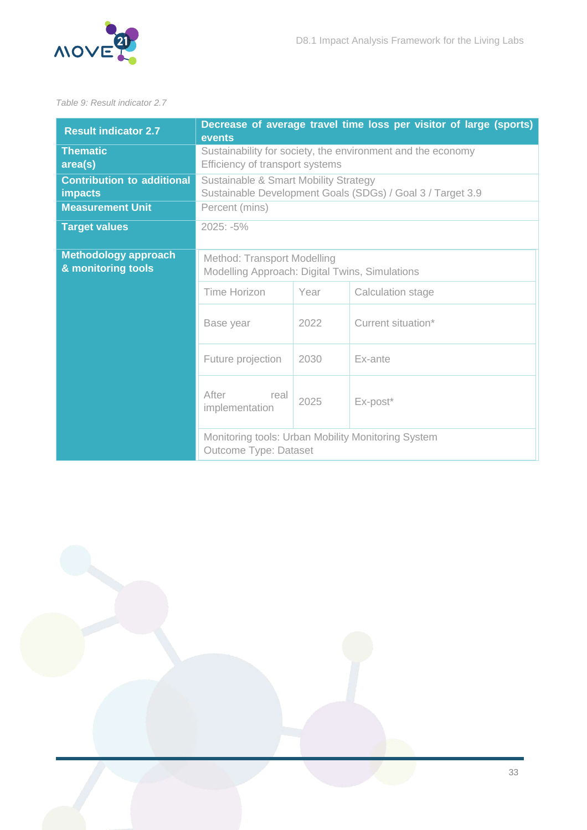

#### <span id="page-33-0"></span>*Table 9: Result indicator 2.7*

| <b>Result indicator 2.7</b>                         | Decrease of average travel time loss per visitor of large (sports)<br>events                        |      |                    |  |  |
|-----------------------------------------------------|-----------------------------------------------------------------------------------------------------|------|--------------------|--|--|
| <b>Thematic</b><br>area(s)                          | Sustainability for society, the environment and the economy<br>Efficiency of transport systems      |      |                    |  |  |
| <b>Contribution to additional</b><br><b>impacts</b> | Sustainable & Smart Mobility Strategy<br>Sustainable Development Goals (SDGs) / Goal 3 / Target 3.9 |      |                    |  |  |
| <b>Measurement Unit</b>                             | Percent (mins)                                                                                      |      |                    |  |  |
| <b>Target values</b>                                | $2025: -5\%$                                                                                        |      |                    |  |  |
| <b>Methodology approach</b><br>& monitoring tools   | Method: Transport Modelling<br>Modelling Approach: Digital Twins, Simulations                       |      |                    |  |  |
|                                                     | Time Horizon                                                                                        | Year | Calculation stage  |  |  |
|                                                     | Base year                                                                                           | 2022 | Current situation* |  |  |
|                                                     | Future projection<br>2030<br>Ex-ante                                                                |      |                    |  |  |
|                                                     | After<br>real<br>implementation                                                                     | 2025 | Ex-post*           |  |  |
|                                                     | Monitoring tools: Urban Mobility Monitoring System<br><b>Outcome Type: Dataset</b>                  |      |                    |  |  |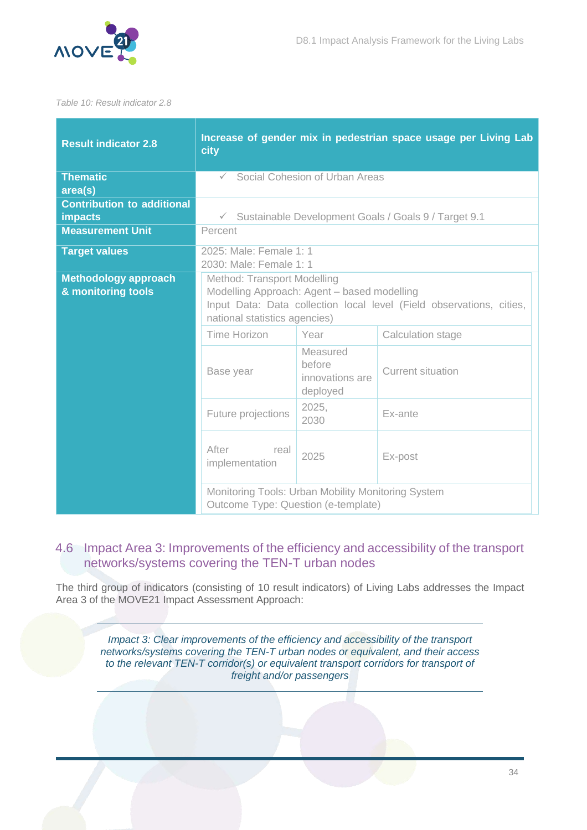

#### <span id="page-34-1"></span>*Table 10: Result indicator 2.8*

| <b>Result indicator 2.8</b>                         | Increase of gender mix in pedestrian space usage per Living Lab<br>city                                                                                                             |                                                   |                                                        |  |  |
|-----------------------------------------------------|-------------------------------------------------------------------------------------------------------------------------------------------------------------------------------------|---------------------------------------------------|--------------------------------------------------------|--|--|
| <b>Thematic</b><br>area(s)                          | Social Cohesion of Urban Areas<br>$\checkmark$                                                                                                                                      |                                                   |                                                        |  |  |
| <b>Contribution to additional</b><br><b>impacts</b> |                                                                                                                                                                                     |                                                   | √ Sustainable Development Goals / Goals 9 / Target 9.1 |  |  |
| <b>Measurement Unit</b>                             | Percent                                                                                                                                                                             |                                                   |                                                        |  |  |
| <b>Target values</b>                                | 2025: Male: Female 1: 1<br>2030: Male: Female 1: 1                                                                                                                                  |                                                   |                                                        |  |  |
| <b>Methodology approach</b><br>& monitoring tools   | Method: Transport Modelling<br>Modelling Approach: Agent - based modelling<br>Input Data: Data collection local level (Field observations, cities,<br>national statistics agencies) |                                                   |                                                        |  |  |
|                                                     | Time Horizon                                                                                                                                                                        | Year                                              | Calculation stage                                      |  |  |
|                                                     | Base year                                                                                                                                                                           | Measured<br>before<br>innovations are<br>deployed | <b>Current situation</b>                               |  |  |
|                                                     | 2025,<br>Future projections<br>Ex-ante<br>2030                                                                                                                                      |                                                   |                                                        |  |  |
|                                                     | After<br>real<br>2025<br>Ex-post<br>implementation                                                                                                                                  |                                                   |                                                        |  |  |
|                                                     | Monitoring Tools: Urban Mobility Monitoring System<br>Outcome Type: Question (e-template)                                                                                           |                                                   |                                                        |  |  |

### <span id="page-34-0"></span>4.6 Impact Area 3: Improvements of the efficiency and accessibility of the transport networks/systems covering the TEN-T urban nodes

The third group of indicators (consisting of 10 result indicators) of Living Labs addresses the Impact Area 3 of the MOVE21 Impact Assessment Approach:

*Impact 3: Clear improvements of the efficiency and accessibility of the transport networks/systems covering the TEN-T urban nodes or equivalent, and their access to the relevant TEN-T corridor(s) or equivalent transport corridors for transport of freight and/or passengers*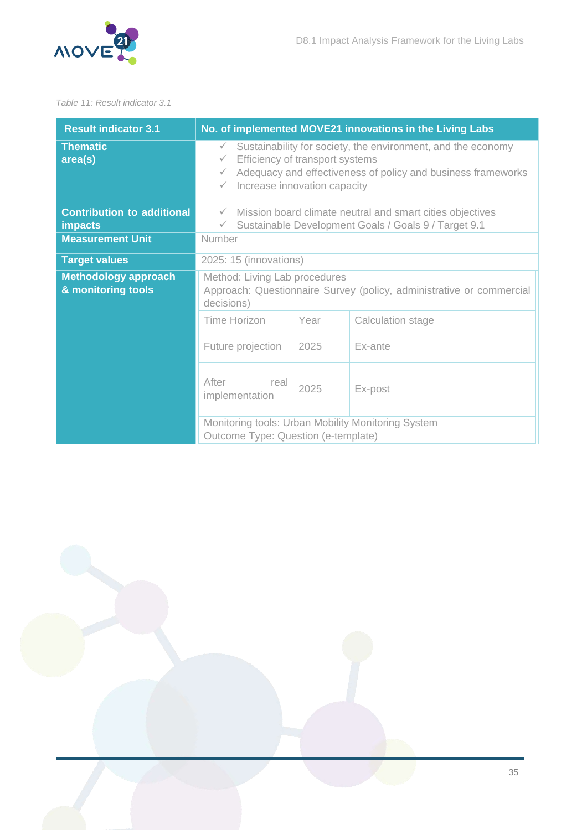

#### <span id="page-35-0"></span>*Table 11: Result indicator 3.1*

| <b>Result indicator 3.1</b>                         | No. of implemented MOVE21 innovations in the Living Labs                                                                                                                                                                                        |      |                   |  |
|-----------------------------------------------------|-------------------------------------------------------------------------------------------------------------------------------------------------------------------------------------------------------------------------------------------------|------|-------------------|--|
| <b>Thematic</b><br>area(s)                          | Sustainability for society, the environment, and the economy<br>$\checkmark$<br>Efficiency of transport systems<br>$\checkmark$<br>Adequacy and effectiveness of policy and business frameworks<br>$\checkmark$<br>Increase innovation capacity |      |                   |  |
| <b>Contribution to additional</b><br><b>impacts</b> | Mission board climate neutral and smart cities objectives<br>$\checkmark$<br>Sustainable Development Goals / Goals 9 / Target 9.1<br>$\checkmark$                                                                                               |      |                   |  |
| <b>Measurement Unit</b>                             | Number                                                                                                                                                                                                                                          |      |                   |  |
| <b>Target values</b>                                | 2025: 15 (innovations)                                                                                                                                                                                                                          |      |                   |  |
| <b>Methodology approach</b><br>& monitoring tools   | Method: Living Lab procedures<br>Approach: Questionnaire Survey (policy, administrative or commercial<br>decisions)                                                                                                                             |      |                   |  |
|                                                     | Time Horizon                                                                                                                                                                                                                                    | Year | Calculation stage |  |
|                                                     | Future projection                                                                                                                                                                                                                               | 2025 | Ex-ante           |  |
|                                                     | After<br>real<br>implementation                                                                                                                                                                                                                 | 2025 | Ex-post           |  |
|                                                     | Monitoring tools: Urban Mobility Monitoring System<br>Outcome Type: Question (e-template)                                                                                                                                                       |      |                   |  |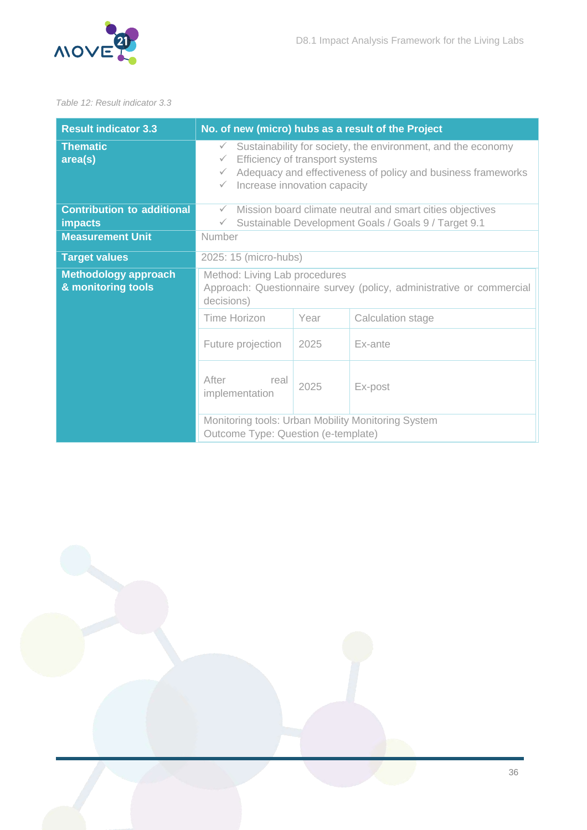

#### <span id="page-36-0"></span>*Table 12: Result indicator 3.3*

| <b>Result indicator 3.3</b>                         | No. of new (micro) hubs as a result of the Project                                                                                                                                                                                                              |      |                   |  |
|-----------------------------------------------------|-----------------------------------------------------------------------------------------------------------------------------------------------------------------------------------------------------------------------------------------------------------------|------|-------------------|--|
| <b>Thematic</b><br>area(s)                          | Sustainability for society, the environment, and the economy<br>$\checkmark$<br>Efficiency of transport systems<br>$\checkmark$<br>Adequacy and effectiveness of policy and business frameworks<br>$\checkmark$<br>Increase innovation capacity<br>$\checkmark$ |      |                   |  |
| <b>Contribution to additional</b><br><b>impacts</b> | Mission board climate neutral and smart cities objectives<br>$\checkmark$<br>Sustainable Development Goals / Goals 9 / Target 9.1<br>$\checkmark$                                                                                                               |      |                   |  |
| <b>Measurement Unit</b>                             | Number                                                                                                                                                                                                                                                          |      |                   |  |
| <b>Target values</b>                                | 2025: 15 (micro-hubs)                                                                                                                                                                                                                                           |      |                   |  |
| <b>Methodology approach</b><br>& monitoring tools   | Method: Living Lab procedures<br>Approach: Questionnaire survey (policy, administrative or commercial<br>decisions)                                                                                                                                             |      |                   |  |
|                                                     | Time Horizon                                                                                                                                                                                                                                                    | Year | Calculation stage |  |
|                                                     | Future projection<br>Ex-ante<br>2025                                                                                                                                                                                                                            |      |                   |  |
|                                                     | After<br>real<br>implementation                                                                                                                                                                                                                                 | 2025 | Ex-post           |  |
|                                                     | Monitoring tools: Urban Mobility Monitoring System<br>Outcome Type: Question (e-template)                                                                                                                                                                       |      |                   |  |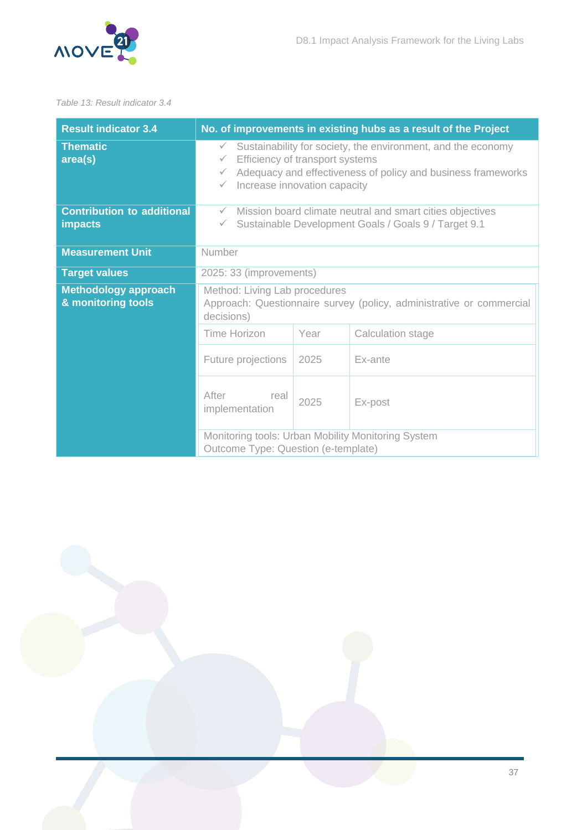

#### <span id="page-37-0"></span>*Table 13: Result indicator 3.4*

| <b>Result indicator 3.4</b>                         | No. of improvements in existing hubs as a result of the Project                                                                                                                                                                                                 |                                                                      |                   |  |
|-----------------------------------------------------|-----------------------------------------------------------------------------------------------------------------------------------------------------------------------------------------------------------------------------------------------------------------|----------------------------------------------------------------------|-------------------|--|
| <b>Thematic</b><br>area(s)                          | Sustainability for society, the environment, and the economy<br>$\checkmark$<br>Efficiency of transport systems<br>$\checkmark$<br>Adequacy and effectiveness of policy and business frameworks<br>$\checkmark$<br>Increase innovation capacity<br>$\checkmark$ |                                                                      |                   |  |
| <b>Contribution to additional</b><br><b>impacts</b> | Mission board climate neutral and smart cities objectives<br>$\checkmark$<br>Sustainable Development Goals / Goals 9 / Target 9.1<br>$\checkmark$                                                                                                               |                                                                      |                   |  |
| <b>Measurement Unit</b>                             | Number                                                                                                                                                                                                                                                          |                                                                      |                   |  |
| <b>Target values</b>                                | 2025: 33 (improvements)                                                                                                                                                                                                                                         |                                                                      |                   |  |
| <b>Methodology approach</b><br>& monitoring tools   | Method: Living Lab procedures<br>decisions)                                                                                                                                                                                                                     | Approach: Questionnaire survey (policy, administrative or commercial |                   |  |
|                                                     | Time Horizon                                                                                                                                                                                                                                                    | Year                                                                 | Calculation stage |  |
|                                                     | Future projections                                                                                                                                                                                                                                              | Ex-ante                                                              |                   |  |
|                                                     | After<br>real<br>implementation                                                                                                                                                                                                                                 | 2025                                                                 | Ex-post           |  |
|                                                     | Monitoring tools: Urban Mobility Monitoring System<br>Outcome Type: Question (e-template)                                                                                                                                                                       |                                                                      |                   |  |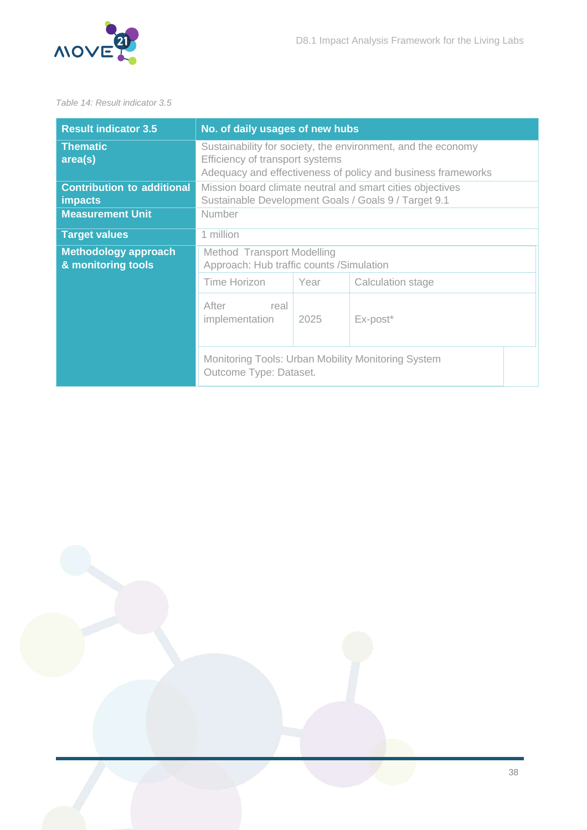

#### <span id="page-38-0"></span>*Table 14: Result indicator 3.5*

| <b>Result indicator 3.5</b>                         | No. of daily usages of new hubs                                                                                                                                 |  |  |  |
|-----------------------------------------------------|-----------------------------------------------------------------------------------------------------------------------------------------------------------------|--|--|--|
| <b>Thematic</b><br>area(s)                          | Sustainability for society, the environment, and the economy<br>Efficiency of transport systems<br>Adequacy and effectiveness of policy and business frameworks |  |  |  |
| <b>Contribution to additional</b><br><b>impacts</b> | Mission board climate neutral and smart cities objectives<br>Sustainable Development Goals / Goals 9 / Target 9.1                                               |  |  |  |
| <b>Measurement Unit</b>                             | Number                                                                                                                                                          |  |  |  |
| <b>Target values</b>                                | 1 million                                                                                                                                                       |  |  |  |
| <b>Methodology approach</b><br>& monitoring tools   | Method Transport Modelling<br>Approach: Hub traffic counts / Simulation                                                                                         |  |  |  |
|                                                     | Time Horizon<br>Year<br>Calculation stage                                                                                                                       |  |  |  |
|                                                     | After<br>real<br>Ex-post*<br>implementation<br>2025                                                                                                             |  |  |  |
|                                                     | Monitoring Tools: Urban Mobility Monitoring System<br>Outcome Type: Dataset.                                                                                    |  |  |  |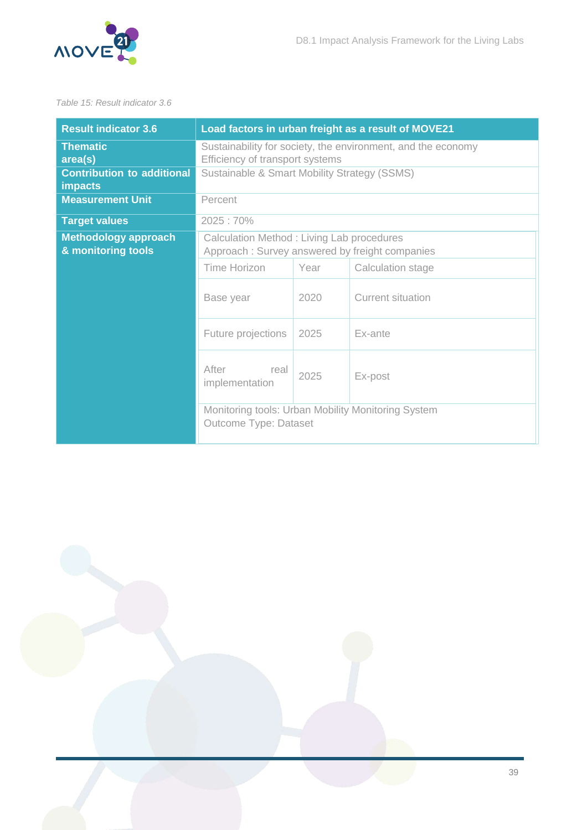

#### <span id="page-39-0"></span>*Table 15: Result indicator 3.6*

| <b>Result indicator 3.6</b>                                                       | Load factors in urban freight as a result of MOVE21                                                                                             |                   |                   |  |
|-----------------------------------------------------------------------------------|-------------------------------------------------------------------------------------------------------------------------------------------------|-------------------|-------------------|--|
| <b>Thematic</b><br>area(s)<br><b>Contribution to additional</b><br><b>impacts</b> | Sustainability for society, the environment, and the economy<br>Efficiency of transport systems<br>Sustainable & Smart Mobility Strategy (SSMS) |                   |                   |  |
| <b>Measurement Unit</b>                                                           | Percent                                                                                                                                         |                   |                   |  |
| <b>Target values</b>                                                              | 2025:70%                                                                                                                                        |                   |                   |  |
| <b>Methodology approach</b><br>& monitoring tools                                 | Calculation Method: Living Lab procedures<br>Approach: Survey answered by freight companies                                                     |                   |                   |  |
|                                                                                   | <b>Time Horizon</b>                                                                                                                             | Calculation stage |                   |  |
|                                                                                   | Base year                                                                                                                                       | 2020              | Current situation |  |
|                                                                                   | Future projections                                                                                                                              | 2025              | Ex-ante           |  |
|                                                                                   | After<br>real<br>2025<br>Ex-post<br>implementation                                                                                              |                   |                   |  |
|                                                                                   | Monitoring tools: Urban Mobility Monitoring System<br>Outcome Type: Dataset                                                                     |                   |                   |  |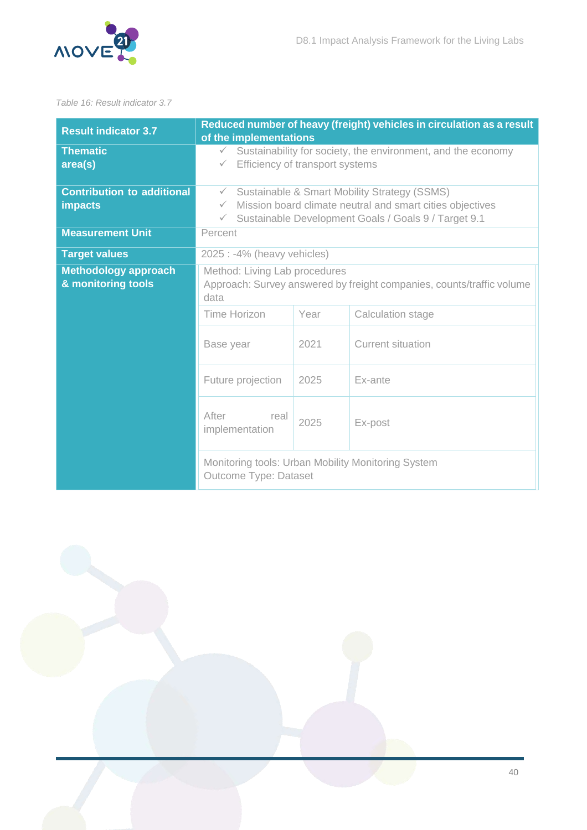

#### <span id="page-40-0"></span>*Table 16: Result indicator 3.7*

| <b>Result indicator 3.7</b>                         | Reduced number of heavy (freight) vehicles in circulation as a result<br>of the implementations                                                                                                                   |      |                                                    |  |
|-----------------------------------------------------|-------------------------------------------------------------------------------------------------------------------------------------------------------------------------------------------------------------------|------|----------------------------------------------------|--|
| <b>Thematic</b><br>area(s)                          | Sustainability for society, the environment, and the economy<br>$\checkmark$<br>Efficiency of transport systems<br>$\checkmark$                                                                                   |      |                                                    |  |
| <b>Contribution to additional</b><br><b>impacts</b> | Sustainable & Smart Mobility Strategy (SSMS)<br>$\checkmark$<br>Mission board climate neutral and smart cities objectives<br>$\checkmark$<br>Sustainable Development Goals / Goals 9 / Target 9.1<br>$\checkmark$ |      |                                                    |  |
| <b>Measurement Unit</b>                             | Percent                                                                                                                                                                                                           |      |                                                    |  |
| <b>Target values</b>                                | 2025 : -4% (heavy vehicles)                                                                                                                                                                                       |      |                                                    |  |
| <b>Methodology approach</b><br>& monitoring tools   | Method: Living Lab procedures<br>Approach: Survey answered by freight companies, counts/traffic volume<br>data                                                                                                    |      |                                                    |  |
|                                                     | <b>Time Horizon</b>                                                                                                                                                                                               | Year | Calculation stage                                  |  |
|                                                     | Base year                                                                                                                                                                                                         | 2021 | <b>Current situation</b>                           |  |
|                                                     | Future projection<br>2025                                                                                                                                                                                         |      | Ex-ante                                            |  |
|                                                     | After<br>real<br>implementation                                                                                                                                                                                   | 2025 | Ex-post                                            |  |
|                                                     | Outcome Type: Dataset                                                                                                                                                                                             |      | Monitoring tools: Urban Mobility Monitoring System |  |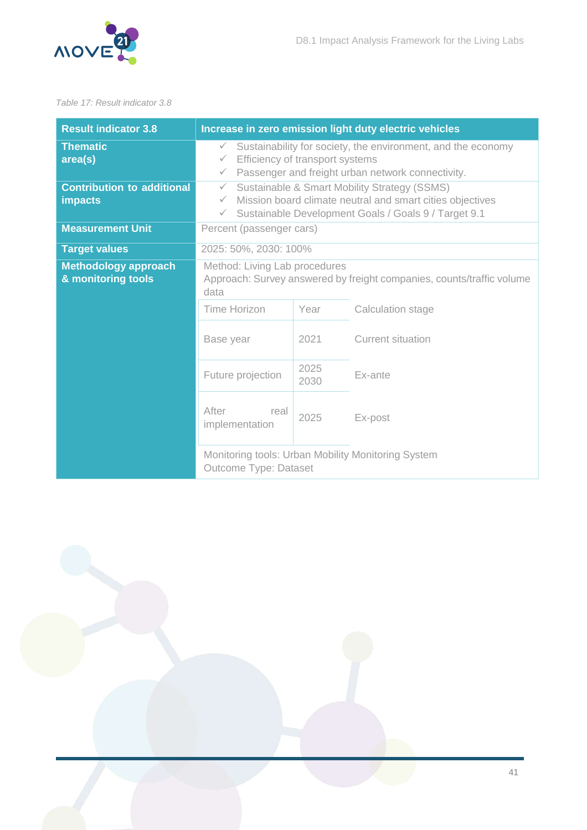

#### <span id="page-41-0"></span>*Table 17: Result indicator 3.8*

| <b>Result indicator 3.8</b>                         |                                                                                                                                                                                                                   |         | Increase in zero emission light duty electric vehicles |
|-----------------------------------------------------|-------------------------------------------------------------------------------------------------------------------------------------------------------------------------------------------------------------------|---------|--------------------------------------------------------|
| <b>Thematic</b><br>area(s)                          | Sustainability for society, the environment, and the economy<br>$\checkmark$<br>Efficiency of transport systems<br>$\checkmark$<br>Passenger and freight urban network connectivity.<br>$\checkmark$              |         |                                                        |
| <b>Contribution to additional</b><br><b>impacts</b> | Sustainable & Smart Mobility Strategy (SSMS)<br>$\checkmark$<br>Mission board climate neutral and smart cities objectives<br>$\checkmark$<br>Sustainable Development Goals / Goals 9 / Target 9.1<br>$\checkmark$ |         |                                                        |
| <b>Measurement Unit</b>                             | Percent (passenger cars)                                                                                                                                                                                          |         |                                                        |
| <b>Target values</b>                                | 2025: 50%, 2030: 100%                                                                                                                                                                                             |         |                                                        |
| <b>Methodology approach</b><br>& monitoring tools   | Method: Living Lab procedures<br>Approach: Survey answered by freight companies, counts/traffic volume<br>data                                                                                                    |         |                                                        |
|                                                     | <b>Time Horizon</b>                                                                                                                                                                                               | Year    | Calculation stage                                      |
|                                                     | Base year                                                                                                                                                                                                         | 2021    | <b>Current situation</b>                               |
|                                                     | Future projection                                                                                                                                                                                                 | Ex-ante |                                                        |
|                                                     | After<br>real<br>implementation                                                                                                                                                                                   | 2025    | Ex-post                                                |
|                                                     | Monitoring tools: Urban Mobility Monitoring System<br><b>Outcome Type: Dataset</b>                                                                                                                                |         |                                                        |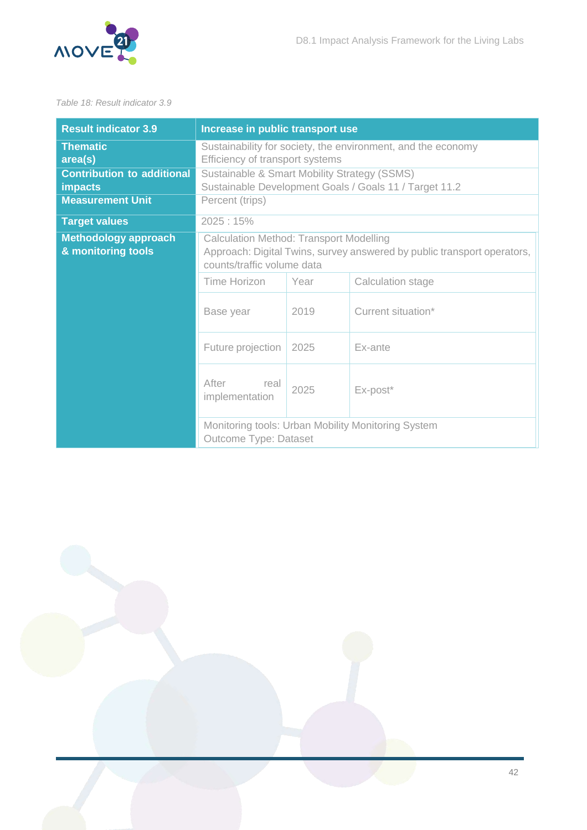

#### <span id="page-42-0"></span>*Table 18: Result indicator 3.9*

| <b>Result indicator 3.9</b>                         | Increase in public transport use                                                                                                                        |                  |                                                    |  |
|-----------------------------------------------------|---------------------------------------------------------------------------------------------------------------------------------------------------------|------------------|----------------------------------------------------|--|
| <b>Thematic</b><br>area(s)                          | Sustainability for society, the environment, and the economy<br>Efficiency of transport systems                                                         |                  |                                                    |  |
| <b>Contribution to additional</b><br><b>impacts</b> | Sustainable & Smart Mobility Strategy (SSMS)<br>Sustainable Development Goals / Goals 11 / Target 11.2                                                  |                  |                                                    |  |
| <b>Measurement Unit</b>                             | Percent (trips)                                                                                                                                         |                  |                                                    |  |
| <b>Target values</b>                                | 2025:15%                                                                                                                                                |                  |                                                    |  |
| <b>Methodology approach</b><br>& monitoring tools   | <b>Calculation Method: Transport Modelling</b><br>Approach: Digital Twins, survey answered by public transport operators,<br>counts/traffic volume data |                  |                                                    |  |
|                                                     | Time Horizon<br>Year<br>Calculation stage                                                                                                               |                  |                                                    |  |
|                                                     | 2019<br>Base year                                                                                                                                       |                  | Current situation*                                 |  |
|                                                     | Future projection                                                                                                                                       | 2025             | Ex-ante                                            |  |
|                                                     | After<br>real<br>implementation                                                                                                                         | 2025<br>Ex-post* |                                                    |  |
|                                                     | Outcome Type: Dataset                                                                                                                                   |                  | Monitoring tools: Urban Mobility Monitoring System |  |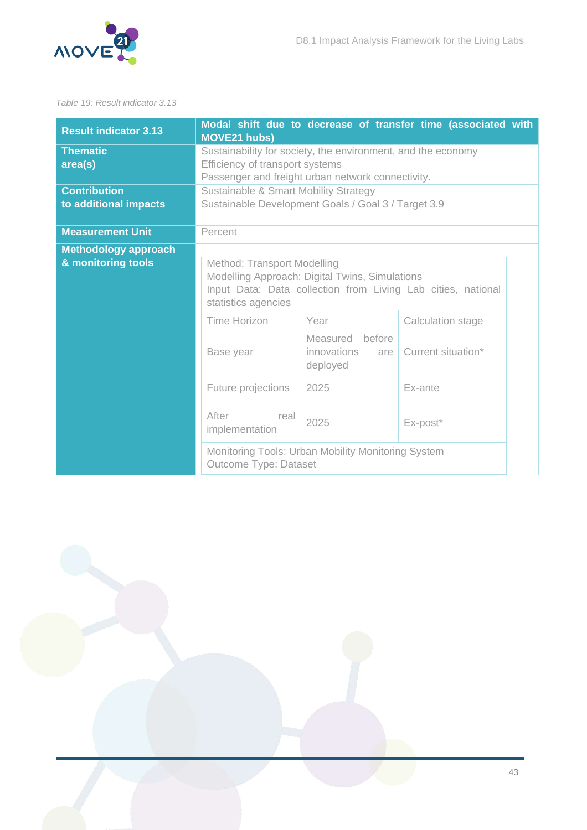

#### <span id="page-43-0"></span>*Table 19: Result indicator 3.13*

| <b>Result indicator 3.13</b>                      | Modal shift due to decrease of transfer time (associated with<br><b>MOVE21 hubs)</b>                                                                                 |                                                    |                   |  |  |
|---------------------------------------------------|----------------------------------------------------------------------------------------------------------------------------------------------------------------------|----------------------------------------------------|-------------------|--|--|
| <b>Thematic</b><br>area(s)                        | Sustainability for society, the environment, and the economy<br>Efficiency of transport systems<br>Passenger and freight urban network connectivity.                 |                                                    |                   |  |  |
| <b>Contribution</b><br>to additional impacts      | Sustainable & Smart Mobility Strategy<br>Sustainable Development Goals / Goal 3 / Target 3.9                                                                         |                                                    |                   |  |  |
| <b>Measurement Unit</b>                           | Percent                                                                                                                                                              |                                                    |                   |  |  |
| <b>Methodology approach</b><br>& monitoring tools | Method: Transport Modelling<br>Modelling Approach: Digital Twins, Simulations<br>Input Data: Data collection from Living Lab cities, national<br>statistics agencies |                                                    |                   |  |  |
|                                                   | Time Horizon                                                                                                                                                         | Year                                               | Calculation stage |  |  |
|                                                   | before<br>Measured<br>Current situation*<br>innovations<br>Base year<br>are<br>deployed<br>Future projections<br>2025<br>Ex-ante                                     |                                                    |                   |  |  |
|                                                   |                                                                                                                                                                      |                                                    |                   |  |  |
|                                                   | After<br>real<br>implementation                                                                                                                                      | 2025                                               | Ex-post*          |  |  |
|                                                   | Outcome Type: Dataset                                                                                                                                                | Monitoring Tools: Urban Mobility Monitoring System |                   |  |  |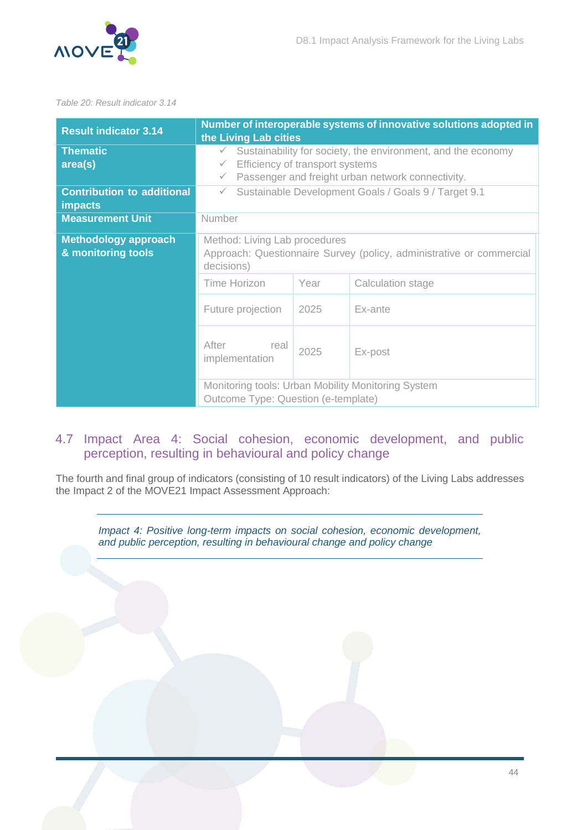



#### <span id="page-44-1"></span>*Table 20: Result indicator 3.14*

| <b>Result indicator 3.14</b>                        | Number of interoperable systems of innovative solutions adopted in<br>the Living Lab cities                                                                                                          |      |                                                    |  |
|-----------------------------------------------------|------------------------------------------------------------------------------------------------------------------------------------------------------------------------------------------------------|------|----------------------------------------------------|--|
| <b>Thematic</b><br>area(s)                          | Sustainability for society, the environment, and the economy<br>$\checkmark$<br>Efficiency of transport systems<br>$\checkmark$<br>Passenger and freight urban network connectivity.<br>$\checkmark$ |      |                                                    |  |
| <b>Contribution to additional</b><br><b>impacts</b> | Sustainable Development Goals / Goals 9 / Target 9.1<br>$\checkmark$                                                                                                                                 |      |                                                    |  |
| <b>Measurement Unit</b>                             | Number                                                                                                                                                                                               |      |                                                    |  |
| <b>Methodology approach</b><br>& monitoring tools   | Method: Living Lab procedures<br>Approach: Questionnaire Survey (policy, administrative or commercial<br>decisions)                                                                                  |      |                                                    |  |
|                                                     | Time Horizon                                                                                                                                                                                         | Year | Calculation stage                                  |  |
|                                                     | Future projection<br>2025<br>Ex-ante                                                                                                                                                                 |      |                                                    |  |
|                                                     | After<br>real<br>implementation                                                                                                                                                                      | 2025 | Ex-post                                            |  |
|                                                     | Outcome Type: Question (e-template)                                                                                                                                                                  |      | Monitoring tools: Urban Mobility Monitoring System |  |

### <span id="page-44-0"></span>4.7 Impact Area 4: Social cohesion, economic development, and public perception, resulting in behavioural and policy change

The fourth and final group of indicators (consisting of 10 result indicators) of the Living Labs addresses the Impact 2 of the MOVE21 Impact Assessment Approach:

*Impact 4: Positive long-term impacts on social cohesion, economic development, and public perception, resulting in behavioural change and policy change*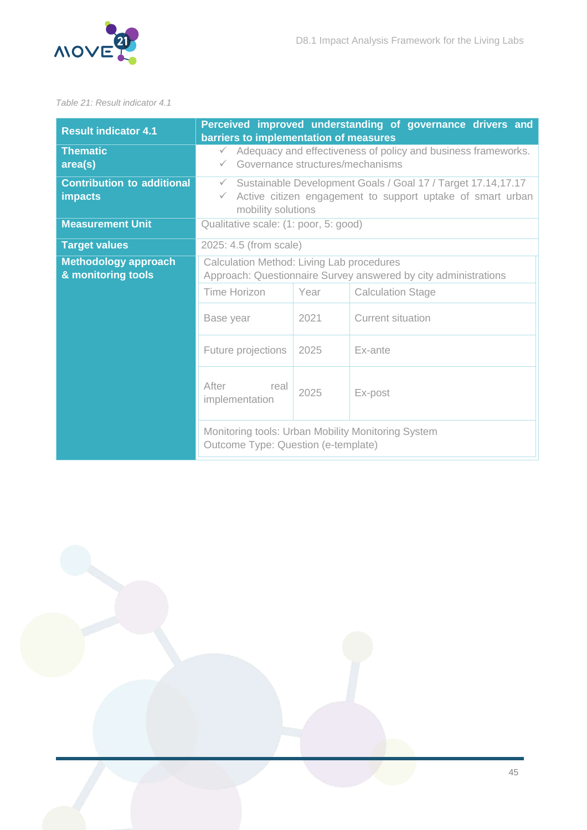

<span id="page-45-0"></span>*Table 21: Result indicator 4.1*

| <b>Result indicator 4.1</b>                                                    | Perceived improved understanding of governance drivers and<br>barriers to implementation of measures                                                             |      |                                                    |  |
|--------------------------------------------------------------------------------|------------------------------------------------------------------------------------------------------------------------------------------------------------------|------|----------------------------------------------------|--|
| <b>Thematic</b><br>area(s)                                                     | Adequacy and effectiveness of policy and business frameworks.<br>$\checkmark$<br>Governance structures/mechanisms<br>$\checkmark$                                |      |                                                    |  |
| <b>Contribution to additional</b><br><b>impacts</b><br><b>Measurement Unit</b> | Sustainable Development Goals / Goal 17 / Target 17.14,17.17<br>$\checkmark$<br>Active citizen engagement to support uptake of smart urban<br>mobility solutions |      |                                                    |  |
|                                                                                | Qualitative scale: (1: poor, 5: good)                                                                                                                            |      |                                                    |  |
| <b>Target values</b>                                                           | 2025: 4.5 (from scale)                                                                                                                                           |      |                                                    |  |
| <b>Methodology approach</b><br>& monitoring tools                              | Calculation Method: Living Lab procedures<br>Approach: Questionnaire Survey answered by city administrations                                                     |      |                                                    |  |
|                                                                                | Time Horizon                                                                                                                                                     | Year | <b>Calculation Stage</b>                           |  |
|                                                                                | 2021<br>Current situation<br>Base year<br>Future projections<br>2025<br>Ex-ante                                                                                  |      |                                                    |  |
|                                                                                |                                                                                                                                                                  |      |                                                    |  |
|                                                                                | After<br>real<br>implementation                                                                                                                                  | 2025 | Ex-post                                            |  |
|                                                                                | Outcome Type: Question (e-template)                                                                                                                              |      | Monitoring tools: Urban Mobility Monitoring System |  |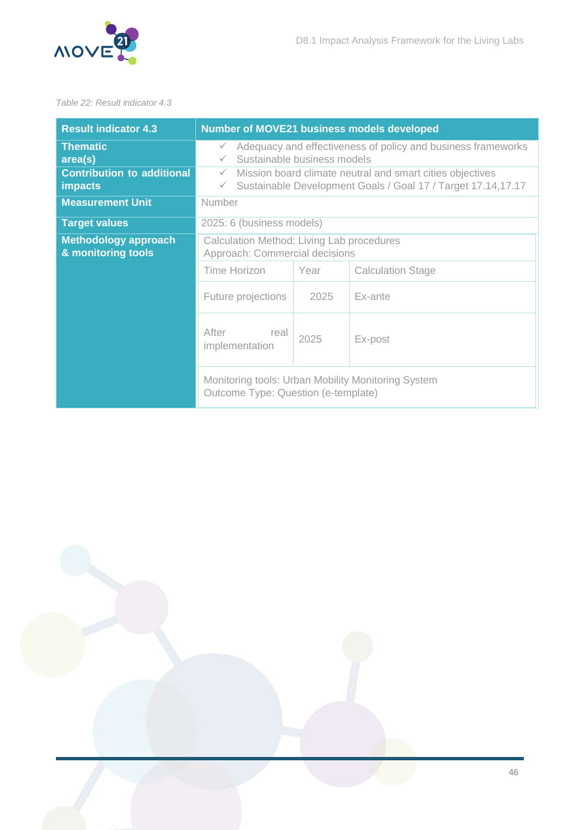

#### <span id="page-46-0"></span>*Table 22: Result indicator 4.3*

| <b>Result indicator 4.3</b>                         | <b>Number of MOVE21 business models developed</b>                                                                                                         |         |                          |  |
|-----------------------------------------------------|-----------------------------------------------------------------------------------------------------------------------------------------------------------|---------|--------------------------|--|
| <b>Thematic</b><br>area(s)                          | Adequacy and effectiveness of policy and business frameworks<br>$\checkmark$<br>Sustainable business models                                               |         |                          |  |
| <b>Contribution to additional</b><br><b>impacts</b> | Mission board climate neutral and smart cities objectives<br>$\checkmark$<br>Sustainable Development Goals / Goal 17 / Target 17.14,17.17<br>$\checkmark$ |         |                          |  |
| <b>Measurement Unit</b>                             | <b>Number</b>                                                                                                                                             |         |                          |  |
| <b>Target values</b>                                | 2025: 6 (business models)                                                                                                                                 |         |                          |  |
| <b>Methodology approach</b><br>& monitoring tools   | Calculation Method: Living Lab procedures<br>Approach: Commercial decisions                                                                               |         |                          |  |
|                                                     | Time Horizon                                                                                                                                              | Year    | <b>Calculation Stage</b> |  |
|                                                     | Future projections                                                                                                                                        | Ex-ante |                          |  |
|                                                     | After<br>real<br>2025<br>Ex-post<br>implementation                                                                                                        |         |                          |  |
|                                                     | Monitoring tools: Urban Mobility Monitoring System<br>Outcome Type: Question (e-template)                                                                 |         |                          |  |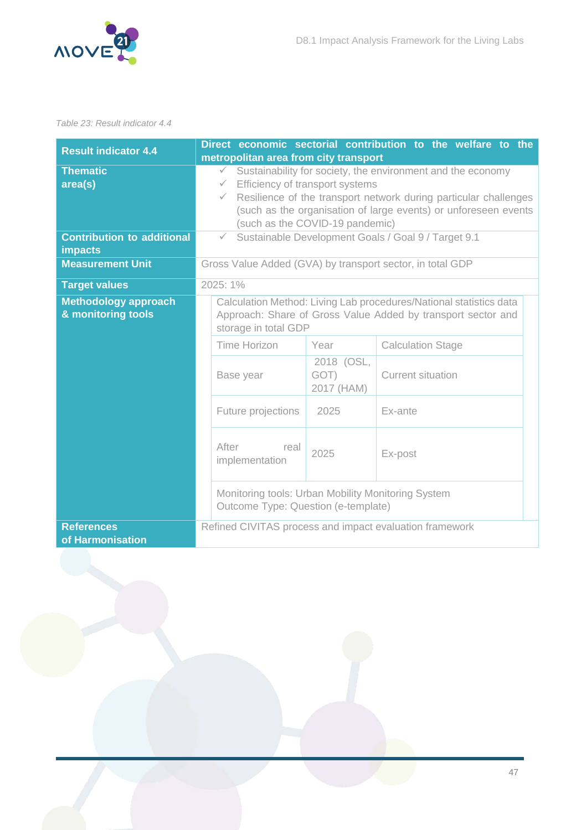

#### <span id="page-47-0"></span>*Table 23: Result indicator 4.4*

| <b>Result indicator 4.4</b>                         | Direct economic sectorial contribution to the welfare to the                                                                                               |  |  |  |  |
|-----------------------------------------------------|------------------------------------------------------------------------------------------------------------------------------------------------------------|--|--|--|--|
|                                                     | metropolitan area from city transport                                                                                                                      |  |  |  |  |
| <b>Thematic</b>                                     | Sustainability for society, the environment and the economy<br>$\checkmark$                                                                                |  |  |  |  |
| area(s)                                             | Efficiency of transport systems<br>$\checkmark$                                                                                                            |  |  |  |  |
|                                                     | Resilience of the transport network during particular challenges<br>$\checkmark$                                                                           |  |  |  |  |
|                                                     | (such as the organisation of large events) or unforeseen events                                                                                            |  |  |  |  |
|                                                     | (such as the COVID-19 pandemic)                                                                                                                            |  |  |  |  |
| <b>Contribution to additional</b><br><b>impacts</b> | Sustainable Development Goals / Goal 9 / Target 9.1<br>$\checkmark$                                                                                        |  |  |  |  |
| <b>Measurement Unit</b>                             | Gross Value Added (GVA) by transport sector, in total GDP                                                                                                  |  |  |  |  |
| <b>Target values</b>                                | 2025: 1%                                                                                                                                                   |  |  |  |  |
| <b>Methodology approach</b><br>& monitoring tools   | Calculation Method: Living Lab procedures/National statistics data<br>Approach: Share of Gross Value Added by transport sector and<br>storage in total GDP |  |  |  |  |
|                                                     | Time Horizon<br>Year<br><b>Calculation Stage</b>                                                                                                           |  |  |  |  |
|                                                     | 2018 (OSL,<br>GOT)<br><b>Current situation</b><br>Base year<br>2017 (HAM)                                                                                  |  |  |  |  |
|                                                     | Future projections<br>2025<br>Ex-ante                                                                                                                      |  |  |  |  |
|                                                     | After<br>real<br>2025<br>Ex-post<br>implementation                                                                                                         |  |  |  |  |
|                                                     | Monitoring tools: Urban Mobility Monitoring System<br>Outcome Type: Question (e-template)                                                                  |  |  |  |  |
| <b>References</b><br>of Harmonisation               | Refined CIVITAS process and impact evaluation framework                                                                                                    |  |  |  |  |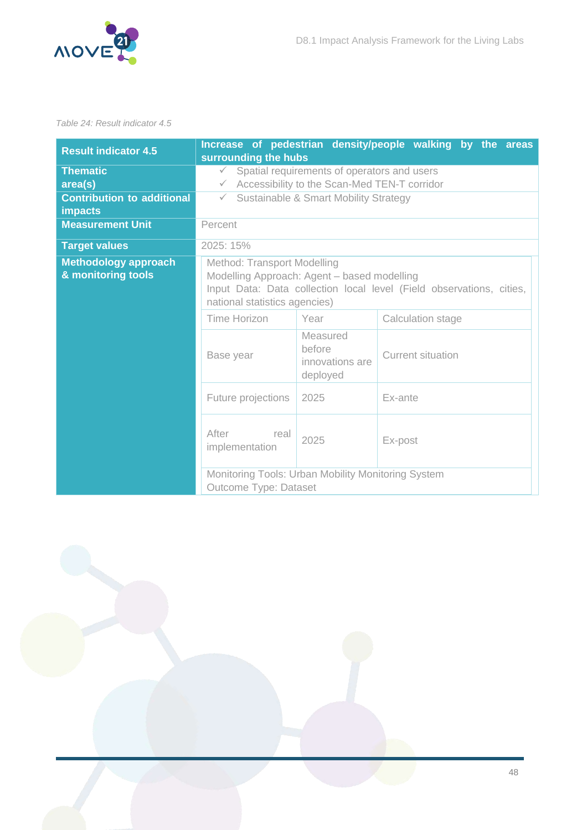

#### <span id="page-48-0"></span>*Table 24: Result indicator 4.5*

| <b>Result indicator 4.5</b>                                     | surrounding the hubs                                                                                                                                                                |                                                   | Increase of pedestrian density/people walking by the areas |  |
|-----------------------------------------------------------------|-------------------------------------------------------------------------------------------------------------------------------------------------------------------------------------|---------------------------------------------------|------------------------------------------------------------|--|
| <b>Thematic</b><br>area(s)<br><b>Contribution to additional</b> | Spatial requirements of operators and users<br>$\checkmark$<br>$\checkmark$ Accessibility to the Scan-Med TEN-T corridor<br>Sustainable & Smart Mobility Strategy<br>$\checkmark$   |                                                   |                                                            |  |
| <b>impacts</b>                                                  |                                                                                                                                                                                     |                                                   |                                                            |  |
| <b>Measurement Unit</b>                                         | Percent                                                                                                                                                                             |                                                   |                                                            |  |
| <b>Target values</b>                                            | 2025: 15%                                                                                                                                                                           |                                                   |                                                            |  |
| <b>Methodology approach</b><br>& monitoring tools               | Method: Transport Modelling<br>Modelling Approach: Agent - based modelling<br>Input Data: Data collection local level (Field observations, cities,<br>national statistics agencies) |                                                   |                                                            |  |
|                                                                 | Time Horizon                                                                                                                                                                        | Year                                              | Calculation stage                                          |  |
|                                                                 | Base year                                                                                                                                                                           | Measured<br>before<br>innovations are<br>deployed | <b>Current situation</b>                                   |  |
|                                                                 | Future projections                                                                                                                                                                  | Ex-ante                                           |                                                            |  |
|                                                                 | After<br>real<br>implementation                                                                                                                                                     | 2025                                              | Ex-post                                                    |  |
|                                                                 | Monitoring Tools: Urban Mobility Monitoring System<br>Outcome Type: Dataset                                                                                                         |                                                   |                                                            |  |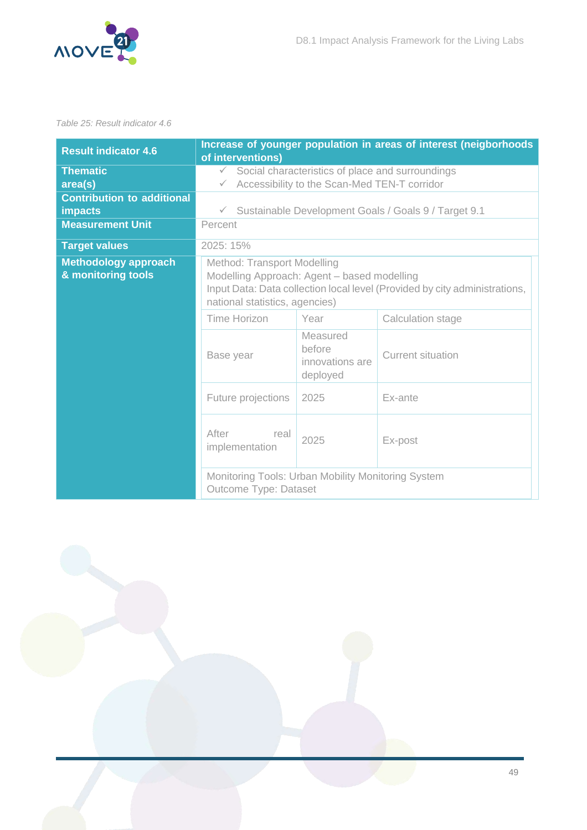

#### <span id="page-49-0"></span>*Table 25: Result indicator 4.6*

| <b>Result indicator 4.6</b>                         | Increase of younger population in areas of interest (neigborhoods<br>of interventions)                                                                                                     |                                                   |                                                        |  |
|-----------------------------------------------------|--------------------------------------------------------------------------------------------------------------------------------------------------------------------------------------------|---------------------------------------------------|--------------------------------------------------------|--|
| <b>Thematic</b><br>area(s)                          | Social characteristics of place and surroundings<br>$\checkmark$<br>Accessibility to the Scan-Med TEN-T corridor<br>$\checkmark$                                                           |                                                   |                                                        |  |
| <b>Contribution to additional</b><br><b>impacts</b> |                                                                                                                                                                                            |                                                   | √ Sustainable Development Goals / Goals 9 / Target 9.1 |  |
| <b>Measurement Unit</b>                             | Percent                                                                                                                                                                                    |                                                   |                                                        |  |
| <b>Target values</b>                                | 2025: 15%                                                                                                                                                                                  |                                                   |                                                        |  |
| <b>Methodology approach</b><br>& monitoring tools   | Method: Transport Modelling<br>Modelling Approach: Agent - based modelling<br>Input Data: Data collection local level (Provided by city administrations,<br>national statistics, agencies) |                                                   |                                                        |  |
|                                                     | Time Horizon                                                                                                                                                                               | Year                                              | Calculation stage                                      |  |
|                                                     | Base year                                                                                                                                                                                  | Measured<br>before<br>innovations are<br>deployed | <b>Current situation</b>                               |  |
|                                                     | Future projections                                                                                                                                                                         | 2025                                              | Ex-ante                                                |  |
|                                                     | After<br>real<br>implementation                                                                                                                                                            | 2025                                              | Ex-post                                                |  |
|                                                     | Monitoring Tools: Urban Mobility Monitoring System<br>Outcome Type: Dataset                                                                                                                |                                                   |                                                        |  |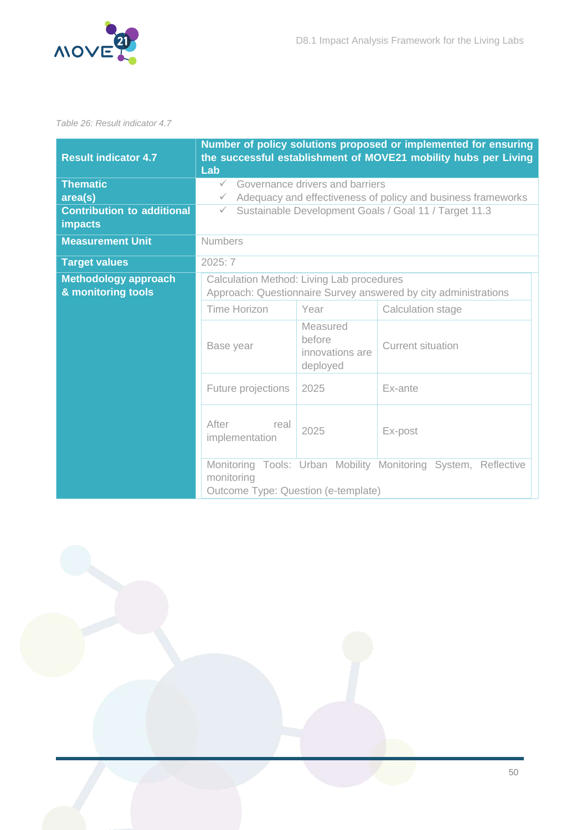

#### <span id="page-50-0"></span>*Table 26: Result indicator 4.7*

| <b>Result indicator 4.7</b>                         | Number of policy solutions proposed or implemented for ensuring<br>the successful establishment of MOVE21 mobility hubs per Living<br>Lab |                                                   |                                                                |  |
|-----------------------------------------------------|-------------------------------------------------------------------------------------------------------------------------------------------|---------------------------------------------------|----------------------------------------------------------------|--|
| <b>Thematic</b>                                     | $\checkmark$                                                                                                                              | Governance drivers and barriers                   |                                                                |  |
| area(s)                                             | $\checkmark$                                                                                                                              |                                                   | Adequacy and effectiveness of policy and business frameworks   |  |
| <b>Contribution to additional</b><br><b>impacts</b> | $\checkmark$                                                                                                                              |                                                   | Sustainable Development Goals / Goal 11 / Target 11.3          |  |
| <b>Measurement Unit</b>                             | <b>Numbers</b>                                                                                                                            |                                                   |                                                                |  |
| <b>Target values</b>                                | 2025:7                                                                                                                                    |                                                   |                                                                |  |
| <b>Methodology approach</b><br>& monitoring tools   | Calculation Method: Living Lab procedures<br>Approach: Questionnaire Survey answered by city administrations                              |                                                   |                                                                |  |
|                                                     | <b>Time Horizon</b>                                                                                                                       | Year                                              | Calculation stage                                              |  |
|                                                     | Base year                                                                                                                                 | Measured<br>before<br>innovations are<br>deployed | <b>Current situation</b>                                       |  |
|                                                     | Future projections                                                                                                                        | 2025                                              | Ex-ante                                                        |  |
|                                                     | After<br>real<br>implementation                                                                                                           | 2025                                              | Ex-post                                                        |  |
|                                                     | monitoring<br>Outcome Type: Question (e-template)                                                                                         |                                                   | Monitoring Tools: Urban Mobility Monitoring System, Reflective |  |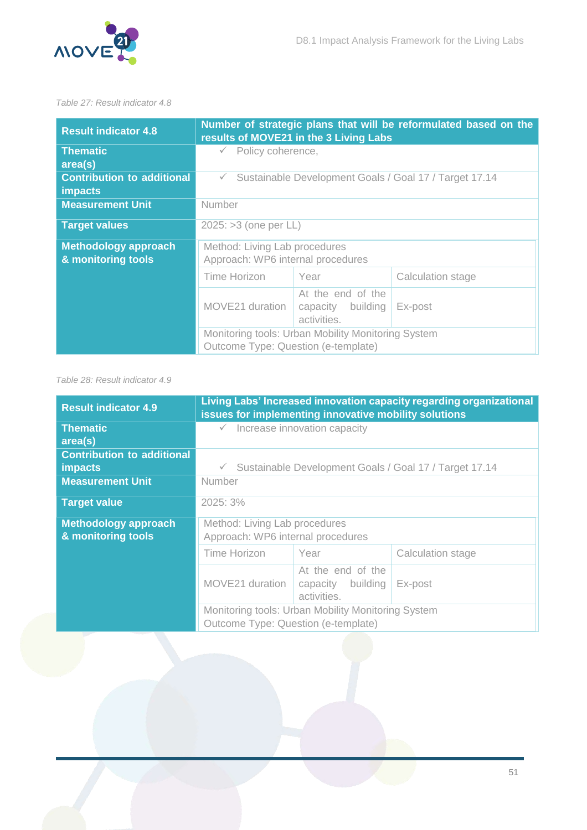

#### <span id="page-51-0"></span>*Table 27: Result indicator 4.8*

| <b>Result indicator 4.8</b>                         | Number of strategic plans that will be reformulated based on the<br>results of MOVE21 in the 3 Living Labs |                                                       |                   |  |
|-----------------------------------------------------|------------------------------------------------------------------------------------------------------------|-------------------------------------------------------|-------------------|--|
| <b>Thematic</b><br>area(s)                          | $\checkmark$ Policy coherence,                                                                             |                                                       |                   |  |
| <b>Contribution to additional</b><br><b>impacts</b> | Sustainable Development Goals / Goal 17 / Target 17.14<br>$\checkmark$                                     |                                                       |                   |  |
| <b>Measurement Unit</b>                             | <b>Number</b>                                                                                              |                                                       |                   |  |
| <b>Target values</b>                                | $2025: >3$ (one per LL)                                                                                    |                                                       |                   |  |
| <b>Methodology approach</b><br>& monitoring tools   | Method: Living Lab procedures<br>Approach: WP6 internal procedures                                         |                                                       |                   |  |
|                                                     | Time Horizon                                                                                               | Year                                                  | Calculation stage |  |
|                                                     | MOVE21 duration                                                                                            | At the end of the<br>capacity building<br>activities. | Ex-post           |  |
|                                                     | Monitoring tools: Urban Mobility Monitoring System<br>Outcome Type: Question (e-template)                  |                                                       |                   |  |

#### <span id="page-51-1"></span>*Table 28: Result indicator 4.9*

| <b>Result indicator 4.9</b>                       | Living Labs' Increased innovation capacity regarding organizational<br>issues for implementing innovative mobility solutions |                                                       |                   |
|---------------------------------------------------|------------------------------------------------------------------------------------------------------------------------------|-------------------------------------------------------|-------------------|
| <b>Thematic</b><br>area(s)                        | Increase innovation capacity                                                                                                 |                                                       |                   |
| <b>Contribution to additional</b><br>impacts      | Sustainable Development Goals / Goal 17 / Target 17.14<br>$\checkmark$                                                       |                                                       |                   |
| <b>Measurement Unit</b>                           | Number                                                                                                                       |                                                       |                   |
| <b>Target value</b>                               | 2025:3%                                                                                                                      |                                                       |                   |
| <b>Methodology approach</b><br>& monitoring tools | Method: Living Lab procedures<br>Approach: WP6 internal procedures                                                           |                                                       |                   |
|                                                   | Time Horizon                                                                                                                 | Year                                                  | Calculation stage |
|                                                   | MOVE21 duration                                                                                                              | At the end of the<br>capacity building<br>activities. | Ex-post           |
|                                                   | Monitoring tools: Urban Mobility Monitoring System<br>Outcome Type: Question (e-template)                                    |                                                       |                   |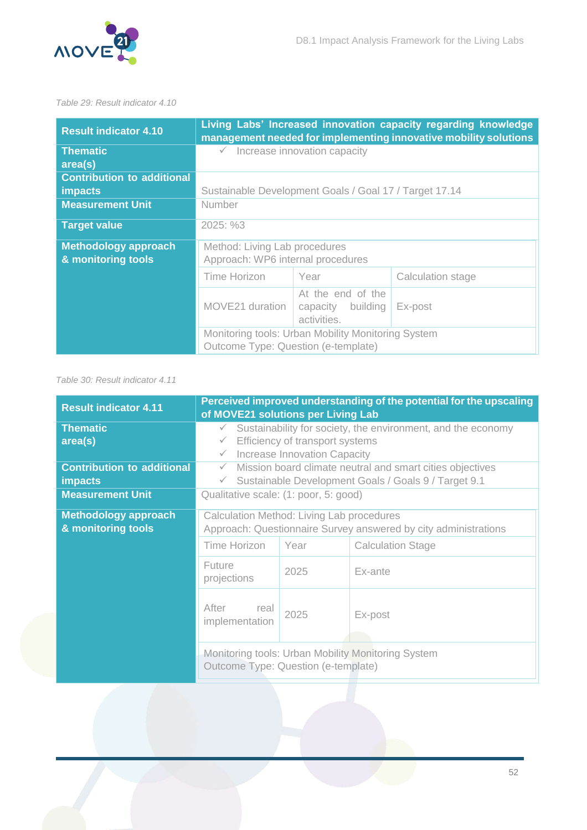

#### <span id="page-52-0"></span>*Table 29: Result indicator 4.10*

| <b>Result indicator 4.10</b>                      |                                                                                           |                                                       | Living Labs' Increased innovation capacity regarding knowledge<br>management needed for implementing innovative mobility solutions |
|---------------------------------------------------|-------------------------------------------------------------------------------------------|-------------------------------------------------------|------------------------------------------------------------------------------------------------------------------------------------|
| <b>Thematic</b><br>area(s)                        | $\checkmark$ Increase innovation capacity                                                 |                                                       |                                                                                                                                    |
| <b>Contribution to additional</b>                 |                                                                                           |                                                       |                                                                                                                                    |
| <b>impacts</b><br><b>Measurement Unit</b>         | Sustainable Development Goals / Goal 17 / Target 17.14<br><b>Number</b>                   |                                                       |                                                                                                                                    |
| <b>Target value</b>                               | 2025: %3                                                                                  |                                                       |                                                                                                                                    |
| <b>Methodology approach</b><br>& monitoring tools | Method: Living Lab procedures<br>Approach: WP6 internal procedures                        |                                                       |                                                                                                                                    |
|                                                   | Time Horizon                                                                              | Year                                                  | Calculation stage                                                                                                                  |
|                                                   | MOVE21 duration                                                                           | At the end of the<br>capacity building<br>activities. | Ex-post                                                                                                                            |
|                                                   | Monitoring tools: Urban Mobility Monitoring System<br>Outcome Type: Question (e-template) |                                                       |                                                                                                                                    |

#### <span id="page-52-1"></span>*Table 30: Result indicator 4.11*

| <b>Result indicator 4.11</b>                                                              | Perceived improved understanding of the potential for the upscaling<br>of MOVE21 solutions per Living Lab                                                                       |      |         |  |
|-------------------------------------------------------------------------------------------|---------------------------------------------------------------------------------------------------------------------------------------------------------------------------------|------|---------|--|
| <b>Thematic</b><br>area(s)                                                                | Sustainability for society, the environment, and the economy<br>$\checkmark$<br>Efficiency of transport systems<br>$\checkmark$<br>Increase Innovation Capacity<br>$\checkmark$ |      |         |  |
| <b>Contribution to additional</b><br><b>impacts</b>                                       | Mission board climate neutral and smart cities objectives<br>$\checkmark$<br>Sustainable Development Goals / Goals 9 / Target 9.1<br>$\checkmark$                               |      |         |  |
| <b>Measurement Unit</b>                                                                   | Qualitative scale: (1: poor, 5: good)                                                                                                                                           |      |         |  |
| <b>Methodology approach</b><br>& monitoring tools                                         | Calculation Method: Living Lab procedures<br>Approach: Questionnaire Survey answered by city administrations<br><b>Time Horizon</b><br>Year<br><b>Calculation Stage</b>         |      |         |  |
|                                                                                           | Future<br>projections                                                                                                                                                           | 2025 | Ex-ante |  |
|                                                                                           | After<br>real<br>2025<br>Ex-post<br>implementation                                                                                                                              |      |         |  |
| Monitoring tools: Urban Mobility Monitoring System<br>Outcome Type: Question (e-template) |                                                                                                                                                                                 |      |         |  |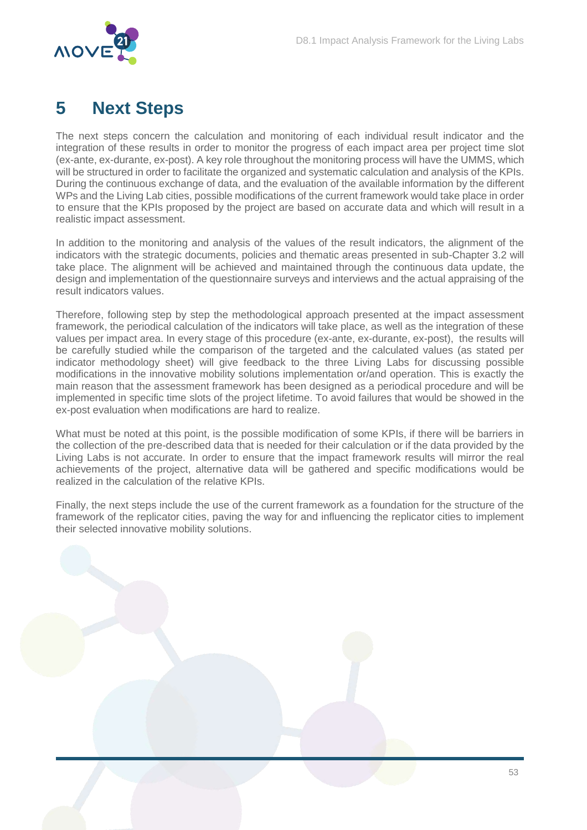

# <span id="page-53-0"></span>**5 Next Steps**

The next steps concern the calculation and monitoring of each individual result indicator and the integration of these results in order to monitor the progress of each impact area per project time slot (ex-ante, ex-durante, ex-post). A key role throughout the monitoring process will have the UMMS, which will be structured in order to facilitate the organized and systematic calculation and analysis of the KPIs. During the continuous exchange of data, and the evaluation of the available information by the different WPs and the Living Lab cities, possible modifications of the current framework would take place in order to ensure that the KPIs proposed by the project are based on accurate data and which will result in a realistic impact assessment.

In addition to the monitoring and analysis of the values of the result indicators, the alignment of the indicators with the strategic documents, policies and thematic areas presented in sub-Chapter 3.2 will take place. The alignment will be achieved and maintained through the continuous data update, the design and implementation of the questionnaire surveys and interviews and the actual appraising of the result indicators values.

Therefore, following step by step the methodological approach presented at the impact assessment framework, the periodical calculation of the indicators will take place, as well as the integration of these values per impact area. In every stage of this procedure (ex-ante, ex-durante, ex-post), the results will be carefully studied while the comparison of the targeted and the calculated values (as stated per indicator methodology sheet) will give feedback to the three Living Labs for discussing possible modifications in the innovative mobility solutions implementation or/and operation. This is exactly the main reason that the assessment framework has been designed as a periodical procedure and will be implemented in specific time slots of the project lifetime. To avoid failures that would be showed in the ex-post evaluation when modifications are hard to realize.

What must be noted at this point, is the possible modification of some KPIs, if there will be barriers in the collection of the pre-described data that is needed for their calculation or if the data provided by the Living Labs is not accurate. In order to ensure that the impact framework results will mirror the real achievements of the project, alternative data will be gathered and specific modifications would be realized in the calculation of the relative KPIs.

Finally, the next steps include the use of the current framework as a foundation for the structure of the framework of the replicator cities, paving the way for and influencing the replicator cities to implement their selected innovative mobility solutions.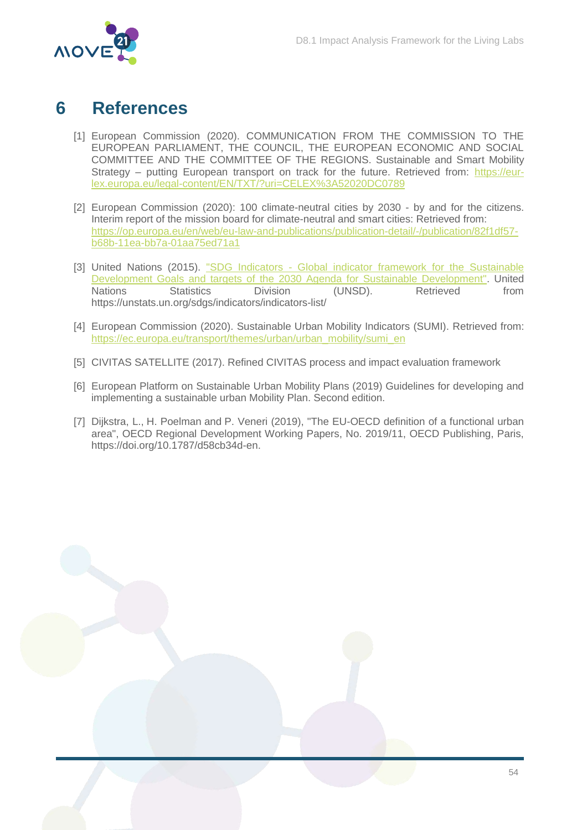

# <span id="page-54-0"></span>**6 References**

- [1] European Commission (2020). COMMUNICATION FROM THE COMMISSION TO THE EUROPEAN PARLIAMENT, THE COUNCIL, THE EUROPEAN ECONOMIC AND SOCIAL COMMITTEE AND THE COMMITTEE OF THE REGIONS. Sustainable and Smart Mobility Strategy – putting European transport on track for the future. Retrieved from: [https://eur](https://eur-lex.europa.eu/legal-content/EN/TXT/?uri=CELEX%3A52020DC0789)[lex.europa.eu/legal-content/EN/TXT/?uri=CELEX%3A52020DC0789](https://eur-lex.europa.eu/legal-content/EN/TXT/?uri=CELEX%3A52020DC0789)
- [2] European Commission (2020): 100 climate-neutral cities by 2030 by and for the citizens. Interim report of the mission board for climate-neutral and smart cities: Retrieved from: [https://op.europa.eu/en/web/eu-law-and-publications/publication-detail/-/publication/82f1df57](https://op.europa.eu/en/web/eu-law-and-publications/publication-detail/-/publication/82f1df57-b68b-11ea-bb7a-01aa75ed71a1) [b68b-11ea-bb7a-01aa75ed71a1](https://op.europa.eu/en/web/eu-law-and-publications/publication-detail/-/publication/82f1df57-b68b-11ea-bb7a-01aa75ed71a1)
- [3] United Nations (2015). "SDG Indicators Global indicator framework for the Sustainable [Development Goals and targets of the 2030 Agenda for Sustainable Development".](https://unstats.un.org/sdgs/indicators/indicators-list/) United Nations Statistics Division (UNSD). Retrieved from https://unstats.un.org/sdgs/indicators/indicators-list/
- [4] European Commission (2020). Sustainable Urban Mobility Indicators (SUMI). Retrieved from: [https://ec.europa.eu/transport/themes/urban/urban\\_mobility/sumi\\_en](https://ec.europa.eu/transport/themes/urban/urban_mobility/sumi_en)
- [5] CIVITAS SATELLITE (2017). Refined CIVITAS process and impact evaluation framework
- [6] European Platform on Sustainable Urban Mobility Plans (2019) Guidelines for developing and implementing a sustainable urban Mobility Plan. Second edition.
- [7] Dijkstra, L., H. Poelman and P. Veneri (2019), "The EU-OECD definition of a functional urban area", OECD Regional Development Working Papers, No. 2019/11, OECD Publishing, Paris, [https://doi.org/10.1787/d58cb34d-en.](https://doi.org/10.1787/d58cb34d-en)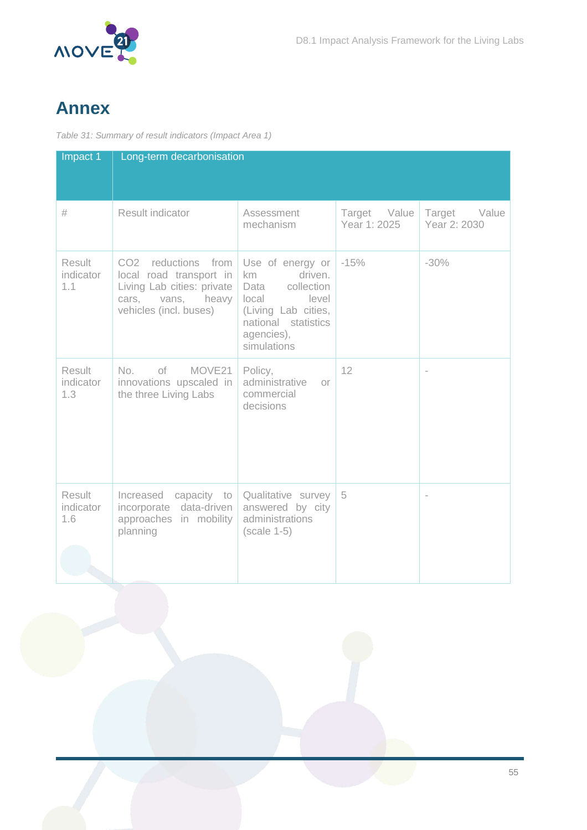

# <span id="page-55-0"></span>**Annex**

<span id="page-55-1"></span>*Table 31: Summary of result indicators (Impact Area 1)*

| Impact 1                          | Long-term decarbonisation                                                                                                   |                                                                                                                                                      |                              |                              |
|-----------------------------------|-----------------------------------------------------------------------------------------------------------------------------|------------------------------------------------------------------------------------------------------------------------------------------------------|------------------------------|------------------------------|
| #                                 | <b>Result indicator</b>                                                                                                     | Assessment<br>mechanism                                                                                                                              | Target Value<br>Year 1: 2025 | Target Value<br>Year 2: 2030 |
| Result<br>indicator<br>1.1        | CO2 reductions from<br>local road transport in<br>Living Lab cities: private<br>cars, vans, heavy<br>vehicles (incl. buses) | Use of energy or<br>driven.<br>km<br>collection<br>Data<br>local<br>level<br>(Living Lab cities,<br>national statistics<br>agencies),<br>simulations | $-15%$                       | $-30%$                       |
| <b>Result</b><br>indicator<br>1.3 | No.<br>of<br>MOVE <sub>21</sub><br>innovations upscaled in<br>the three Living Labs                                         | Policy,<br>administrative<br>$O^r$<br>commercial<br>decisions                                                                                        | 12                           | $\overline{\phantom{a}}$     |
| Result<br>indicator<br>1.6        | Increased<br>capacity to<br>incorporate data-driven<br>approaches in mobility<br>planning                                   | Qualitative survey<br>answered by city<br>administrations<br>$(scale 1-5)$                                                                           | 5                            | $\overline{\phantom{a}}$     |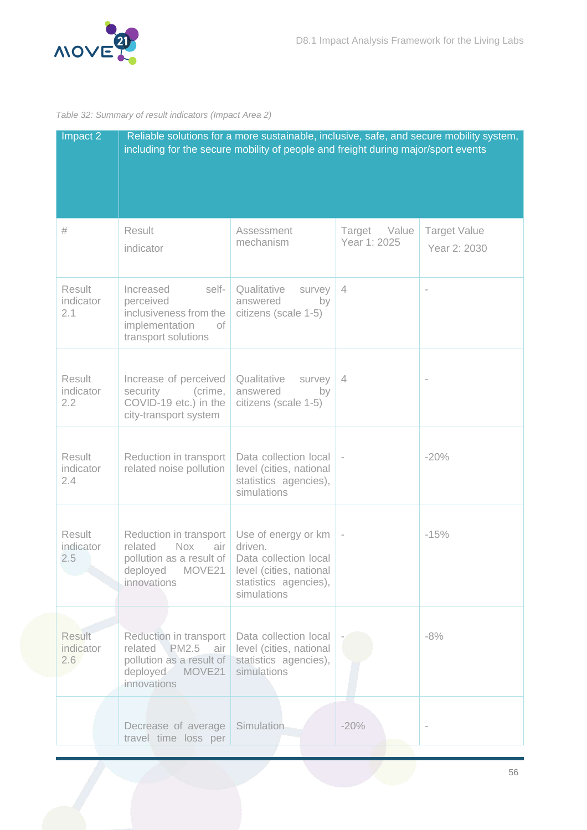

#### <span id="page-56-0"></span>*Table 32: Summary of result indicators (Impact Area 2)*

| Impact 2                          | including for the secure mobility of people and freight during major/sport events                                    | Reliable solutions for a more sustainable, inclusive, safe, and secure mobility system,                                    |                                 |                                     |
|-----------------------------------|----------------------------------------------------------------------------------------------------------------------|----------------------------------------------------------------------------------------------------------------------------|---------------------------------|-------------------------------------|
| #                                 | Result<br>indicator                                                                                                  | Assessment<br>mechanism                                                                                                    | Value<br>Target<br>Year 1: 2025 | <b>Target Value</b><br>Year 2: 2030 |
| Result<br>indicator<br>2.1        | Increased<br>self-<br>perceived<br>inclusiveness from the<br>implementation<br>of<br>transport solutions             | Qualitative<br>survey<br>answered<br>by<br>citizens (scale 1-5)                                                            | $\overline{4}$                  |                                     |
| Result<br>indicator<br>2.2        | Increase of perceived<br>security<br>(crime,<br>COVID-19 etc.) in the<br>city-transport system                       | Qualitative<br>survey<br>answered<br>by<br>citizens (scale 1-5)                                                            | $\overline{4}$                  |                                     |
| Result<br>indicator<br>2.4        | Reduction in transport<br>related noise pollution                                                                    | Data collection local<br>level (cities, national<br>statistics agencies),<br>simulations                                   |                                 | $-20%$                              |
| Result<br>indicator<br>2.5        | Reduction in transport<br><b>Nox</b><br>related<br>air<br>pollution as a result of<br>deployed MOVE21<br>innovations | Use of energy or km<br>driven.<br>Data collection local<br>level (cities, national<br>statistics agencies),<br>simulations |                                 | $-15%$                              |
| <b>Result</b><br>indicator<br>2.6 | Reduction in transport<br>related PM2.5 air<br>pollution as a result of<br>deployed MOVE21<br>innovations            | Data collection local<br>level (cities, national<br>statistics agencies),<br>simulations                                   |                                 | $-8%$                               |
|                                   | Decrease of average<br>travel time loss per                                                                          | Simulation                                                                                                                 | $-20%$                          |                                     |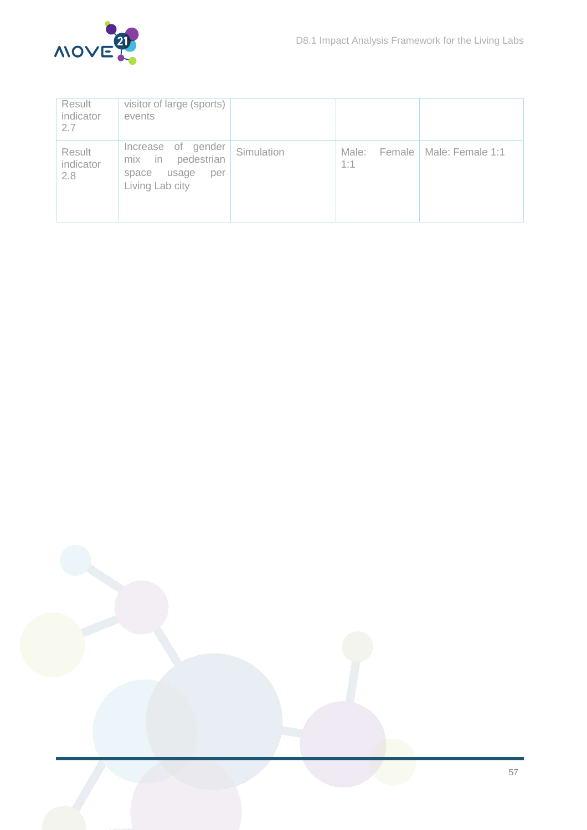

| Result<br>indicator<br>2.7 | visitor of large (sports)<br>events                                                          |            |                        |                  |
|----------------------------|----------------------------------------------------------------------------------------------|------------|------------------------|------------------|
| Result<br>indicator<br>2.8 | of gender<br>Increase<br>pedestrian<br>mix<br>in<br>usage<br>space<br>per<br>Living Lab city | Simulation | Male:<br>Female<br>1:1 | Male: Female 1:1 |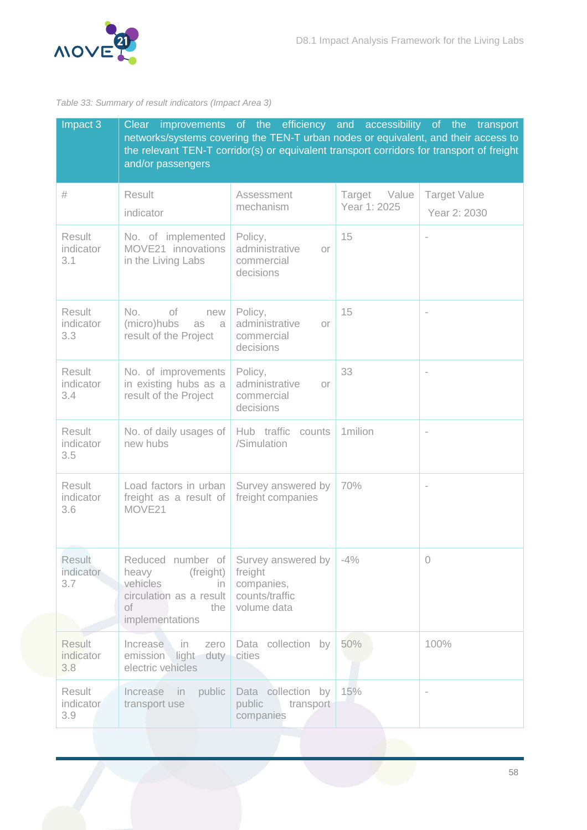

#### <span id="page-58-0"></span>*Table 33: Summary of result indicators (Impact Area 3)*

| Impact 3                          | Clear<br>networks/systems covering the TEN-T urban nodes or equivalent, and their access to<br>the relevant TEN-T corridor(s) or equivalent transport corridors for transport of freight<br>and/or passengers | improvements of the efficiency and accessibility of the                        |                                 | transport                           |
|-----------------------------------|---------------------------------------------------------------------------------------------------------------------------------------------------------------------------------------------------------------|--------------------------------------------------------------------------------|---------------------------------|-------------------------------------|
| #                                 | Result<br>indicator                                                                                                                                                                                           | Assessment<br>mechanism                                                        | Value<br>Target<br>Year 1: 2025 | <b>Target Value</b><br>Year 2: 2030 |
| Result<br>indicator<br>3.1        | No. of implemented<br>MOVE21 innovations<br>in the Living Labs                                                                                                                                                | Policy,<br>administrative<br>Οľ<br>commercial<br>decisions                     | 15                              |                                     |
| Result<br>indicator<br>3.3        | No.<br>of<br>new<br>(micro)hubs<br>as a<br>result of the Project                                                                                                                                              | Policy,<br>administrative<br>Οľ<br>commercial<br>decisions                     | 15                              |                                     |
| Result<br>indicator<br>3.4        | No. of improvements<br>in existing hubs as a<br>result of the Project                                                                                                                                         | Policy,<br>administrative<br>Οľ<br>commercial<br>decisions                     | 33                              |                                     |
| Result<br>indicator<br>3.5        | No. of daily usages of<br>new hubs                                                                                                                                                                            | Hub traffic<br>counts<br>/Simulation                                           | 1milion                         | $\bar{a}$                           |
| Result<br>indicator<br>3.6        | Load factors in urban<br>freight as a result of<br>MOVE21                                                                                                                                                     | Survey answered by<br>freight companies                                        | 70%                             |                                     |
| Result<br>indicator<br>3.7        | Reduced number of<br>(freight)<br>heavy<br>vehicles<br>in.<br>circulation as a result<br>Οf<br>the<br>implementations                                                                                         | Survey answered by  <br>freight<br>companies,<br>counts/traffic<br>volume data | $-4%$                           | $\sqrt{a}$                          |
| <b>Result</b><br>indicator<br>3.8 | Increase<br>in.<br>zero<br>emission light<br>duty<br>electric vehicles                                                                                                                                        | collection by<br>Data<br>cities                                                | 50%                             | 100%                                |
| Result<br>indicator<br>3.9        | Increase in<br>public<br>transport use                                                                                                                                                                        | Data collection by<br>public<br>transport<br>companies                         | 15%                             |                                     |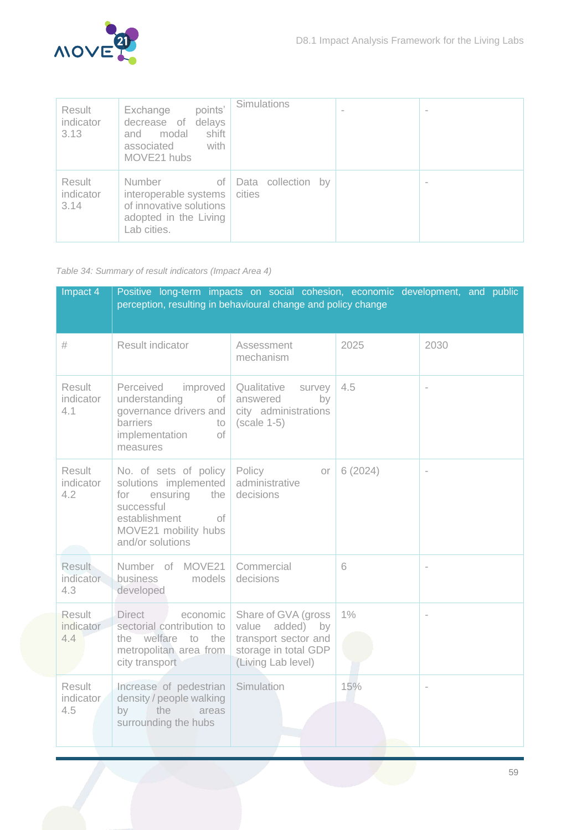

| Result<br>indicator<br>3.13 | points'<br>Exchange<br>delays<br>decrease of<br>shift<br>modal<br>and<br>associated<br>with<br>MOVE21 hubs | Simulations                  | $\sim$ |
|-----------------------------|------------------------------------------------------------------------------------------------------------|------------------------------|--------|
| Result<br>indicator<br>3.14 | Number<br>оf<br>interoperable systems<br>of innovative solutions<br>adopted in the Living<br>Lab cities.   | Data collection by<br>cities | $\,$   |

<span id="page-59-0"></span>*Table 34: Summary of result indicators (Impact Area 4)*

| Impact 4                          | Positive long-term impacts on social cohesion, economic development, and public<br>perception, resulting in behavioural change and policy change          |                                                                                                              |         |                          |
|-----------------------------------|-----------------------------------------------------------------------------------------------------------------------------------------------------------|--------------------------------------------------------------------------------------------------------------|---------|--------------------------|
| #                                 | Result indicator                                                                                                                                          | Assessment<br>mechanism                                                                                      | 2025    | 2030                     |
| Result<br>indicator<br>4.1        | Perceived improved<br>understanding<br>of<br>governance drivers and<br>barriers<br>to<br>implementation<br>of<br>measures                                 | Qualitative<br>survey<br>answered<br>by<br>city administrations<br>$(scale 1-5)$                             | 4.5     | $\overline{\phantom{a}}$ |
| <b>Result</b><br>indicator<br>4.2 | No. of sets of policy<br>solutions implemented<br>ensuring<br>for<br>the<br>successful<br>establishment<br>of<br>MOVE21 mobility hubs<br>and/or solutions | Policy<br>Оľ<br>administrative<br>decisions                                                                  | 6(2024) |                          |
| Result<br>indicator<br>4.3        | Number of MOVE21<br><b>business</b><br>models<br>developed                                                                                                | Commercial<br>decisions                                                                                      | 6       |                          |
| Result<br>indicator<br>4.4        | <b>Direct</b><br>economic<br>sectorial contribution to<br>the welfare to the<br>metropolitan area from<br>city transport                                  | Share of GVA (gross<br>value added) by<br>transport sector and<br>storage in total GDP<br>(Living Lab level) | $1\%$   |                          |
| Result<br>indicator<br>4.5        | Increase of pedestrian<br>density / people walking<br>the<br>by<br>areas<br>surrounding the hubs                                                          | Simulation                                                                                                   | 15%     |                          |